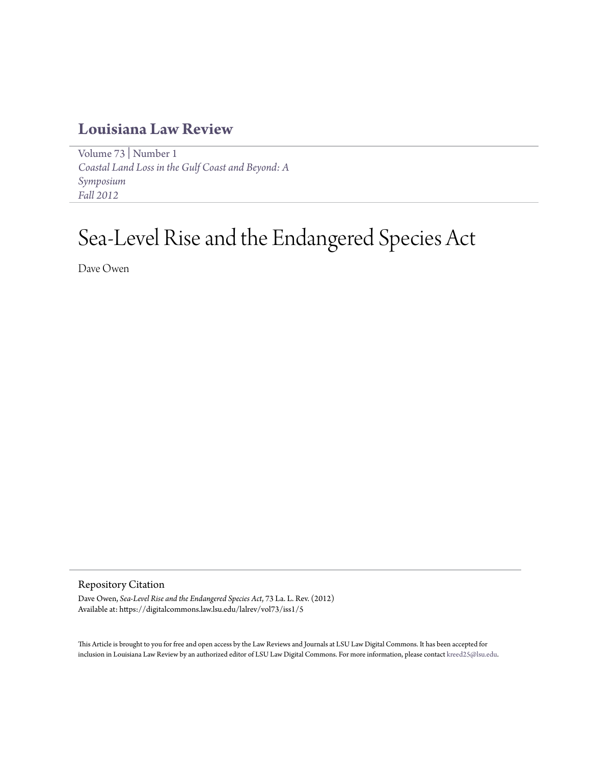## **[Louisiana Law Review](https://digitalcommons.law.lsu.edu/lalrev)**

[Volume 73](https://digitalcommons.law.lsu.edu/lalrev/vol73) | [Number 1](https://digitalcommons.law.lsu.edu/lalrev/vol73/iss1) *[Coastal Land Loss in the Gulf Coast and Beyond: A](https://digitalcommons.law.lsu.edu/lalrev/vol73/iss1) [Symposium](https://digitalcommons.law.lsu.edu/lalrev/vol73/iss1) [Fall 2012](https://digitalcommons.law.lsu.edu/lalrev/vol73/iss1)*

# Sea-Level Rise and the Endangered Species Act

Dave Owen

Repository Citation

Dave Owen, *Sea-Level Rise and the Endangered Species Act*, 73 La. L. Rev. (2012) Available at: https://digitalcommons.law.lsu.edu/lalrev/vol73/iss1/5

This Article is brought to you for free and open access by the Law Reviews and Journals at LSU Law Digital Commons. It has been accepted for inclusion in Louisiana Law Review by an authorized editor of LSU Law Digital Commons. For more information, please contact [kreed25@lsu.edu](mailto:kreed25@lsu.edu).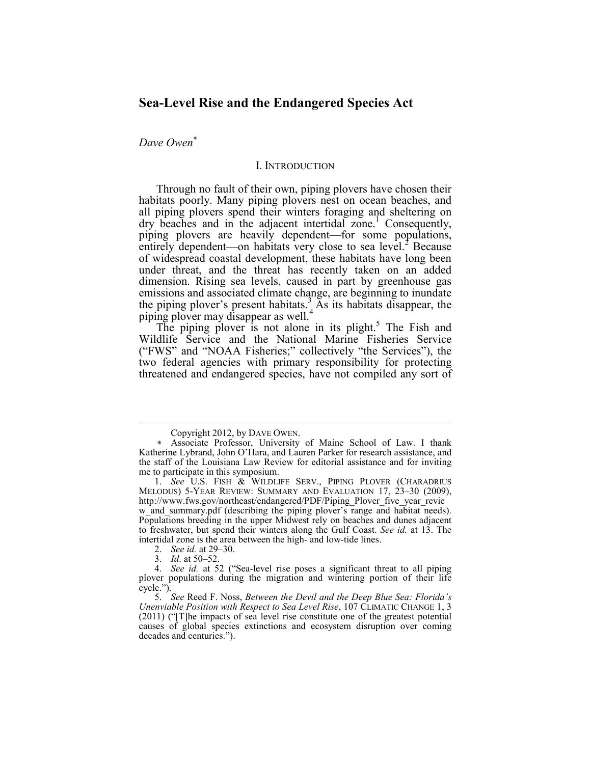### **Sea-Level Rise and the Endangered Species Act**

*Dave Owen*<sup>∗</sup>

#### I. INTRODUCTION

Through no fault of their own, piping plovers have chosen their habitats poorly. Many piping plovers nest on ocean beaches, and all piping plovers spend their winters foraging and sheltering on  $\frac{d}{dx}$  dry beaches and in the adjacent intertidal zone.<sup>1</sup> Consequently, piping plovers are heavily dependent—for some populations, entirely dependent—on habitats very close to sea level.<sup>2</sup> Because of widespread coastal development, these habitats have long been under threat, and the threat has recently taken on an added dimension. Rising sea levels, caused in part by greenhouse gas emissions and associated climate change, are beginning to inundate the piping plover's present habitats.<sup>3</sup> As its habitats disappear, the piping plover may disappear as well.<sup>4</sup>

The piping plover is not alone in its plight.<sup>5</sup> The Fish and Wildlife Service and the National Marine Fisheries Service ("FWS" and "NOAA Fisheries;" collectively "the Services"), the two federal agencies with primary responsibility for protecting threatened and endangered species, have not compiled any sort of

Copyright 2012, by DAVE OWEN.

<sup>∗</sup> Associate Professor, University of Maine School of Law. I thank Katherine Lybrand, John O'Hara, and Lauren Parker for research assistance, and the staff of the Louisiana Law Review for editorial assistance and for inviting me to participate in this symposium.

 <sup>1.</sup> *See* U.S. FISH & WILDLIFE SERV., PIPING PLOVER (CHARADRIUS MELODUS) 5-YEAR REVIEW: SUMMARY AND EVALUATION 17, 23–30 (2009), http://www.fws.gov/northeast/endangered/PDF/Piping\_Plover\_five\_year\_revie w and summary.pdf (describing the piping plover's range and habitat needs). Populations breeding in the upper Midwest rely on beaches and dunes adjacent to freshwater, but spend their winters along the Gulf Coast. *See id.* at 13. The intertidal zone is the area between the high- and low-tide lines.

 <sup>2.</sup> *See id.* at 29–30.

 <sup>3.</sup> *Id*. at 50–52.

 <sup>4.</sup> *See id.* at 52 ("Sea-level rise poses a significant threat to all piping plover populations during the migration and wintering portion of their life cycle.").

 <sup>5.</sup> *See* Reed F. Noss, *Between the Devil and the Deep Blue Sea: Florida's Unenviable Position with Respect to Sea Level Rise*, 107 CLIMATIC CHANGE 1, 3 (2011) ("[T]he impacts of sea level rise constitute one of the greatest potential causes of global species extinctions and ecosystem disruption over coming decades and centuries.").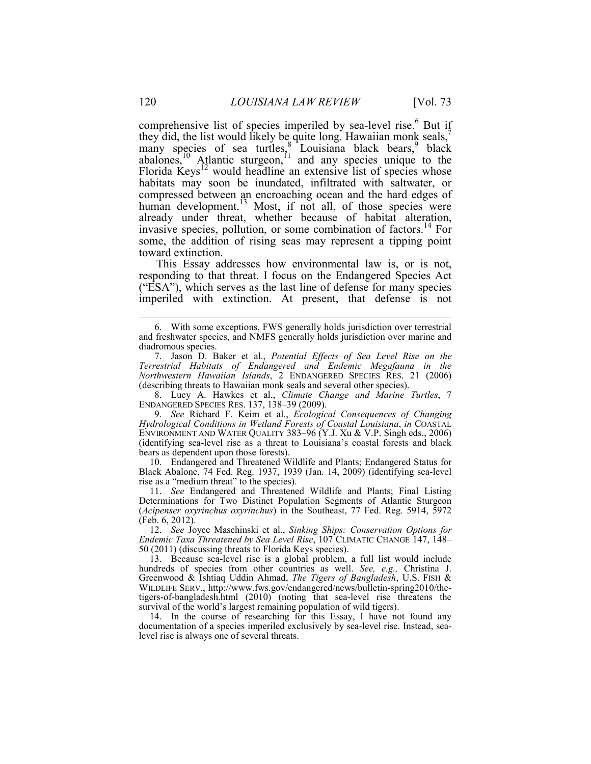comprehensive list of species imperiled by sea-level rise.<sup>6</sup> But if they did, the list would likely be quite long. Hawaiian monk seals,<sup>7</sup> many species of sea turtles,<sup>8</sup> Louisiana black bears,<sup>9</sup> black abalones,<sup>10</sup> Atlantic sturgeon,<sup>11</sup> and any species unique to the Florida Keys<sup>12</sup> would headline an extensive list of species whose habitats may soon be inundated, infiltrated with saltwater, or compressed between an encroaching ocean and the hard edges of human development.<sup>13</sup> Most, if not all, of those species were already under threat, whether because of habitat alteration, invasive species, pollution, or some combination of factors.<sup>14</sup> For some, the addition of rising seas may represent a tipping point toward extinction.

This Essay addresses how environmental law is, or is not, responding to that threat. I focus on the Endangered Species Act ("ESA"), which serves as the last line of defense for many species imperiled with extinction. At present, that defense is not

 8. Lucy A. Hawkes et al., *Climate Change and Marine Turtles*, 7 ENDANGERED SPECIES RES. 137, 138–39 (2009).

 9. *See* Richard F. Keim et al., *Ecological Consequences of Changing Hydrological Conditions in Wetland Forests of Coastal Louisiana*, *in* COASTAL ENVIRONMENT AND WATER QUALITY 383–96 (Y.J. Xu & V.P. Singh eds., 2006) (identifying sea-level rise as a threat to Louisiana's coastal forests and black bears as dependent upon those forests).

 10. Endangered and Threatened Wildlife and Plants; Endangered Status for Black Abalone, 74 Fed. Reg. 1937, 1939 (Jan. 14, 2009) (identifying sea-level rise as a "medium threat" to the species).

 11. *See* Endangered and Threatened Wildlife and Plants; Final Listing Determinations for Two Distinct Population Segments of Atlantic Sturgeon (*Acipenser oxyrinchus oxyrinchus*) in the Southeast, 77 Fed. Reg. 5914, 5972 (Feb. 6, 2012).

 12. *See* Joyce Maschinski et al., *Sinking Ships: Conservation Options for Endemic Taxa Threatened by Sea Level Rise*, 107 CLIMATIC CHANGE 147, 148– 50 (2011) (discussing threats to Florida Keys species).

 13. Because sea-level rise is a global problem, a full list would include hundreds of species from other countries as well. *See, e.g.,* Christina J. Greenwood & Ishtiaq Uddin Ahmad, *The Tigers of Bangladesh*, U.S. FISH & WILDLIFE SERV., http://www.fws.gov/endangered/news/bulletin-spring2010/thetigers-of-bangladesh.html (2010) (noting that sea-level rise threatens the survival of the world's largest remaining population of wild tigers).

 14. In the course of researching for this Essay, I have not found any documentation of a species imperiled exclusively by sea-level rise. Instead, sealevel rise is always one of several threats.

<u>.</u>

 <sup>6.</sup> With some exceptions, FWS generally holds jurisdiction over terrestrial and freshwater species, and NMFS generally holds jurisdiction over marine and diadromous species.

 <sup>7.</sup> Jason D. Baker et al., *Potential Effects of Sea Level Rise on the Terrestrial Habitats of Endangered and Endemic Megafauna in the Northwestern Hawaiian Islands*, 2 ENDANGERED SPECIES RES. 21 (2006) (describing threats to Hawaiian monk seals and several other species).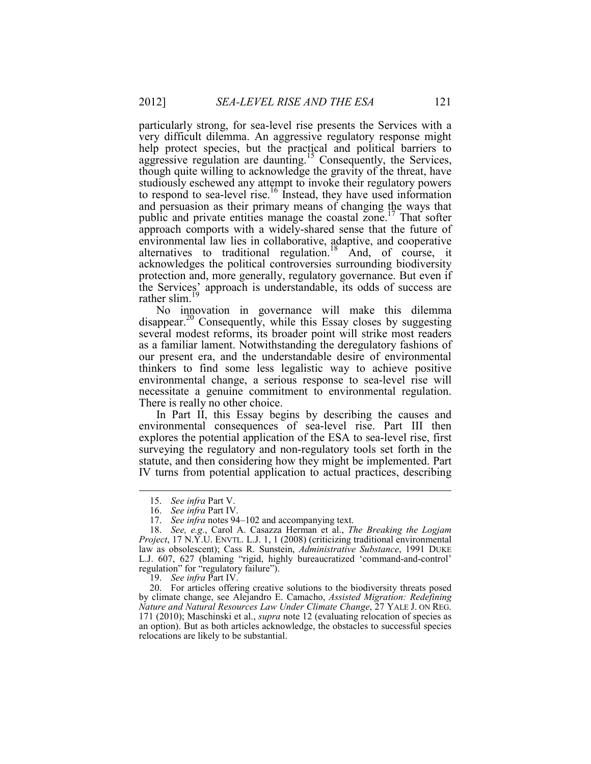particularly strong, for sea-level rise presents the Services with a very difficult dilemma. An aggressive regulatory response might help protect species, but the practical and political barriers to aggressive regulation are daunting.<sup>15</sup> Consequently, the Services, though quite willing to acknowledge the gravity of the threat, have studiously eschewed any attempt to invoke their regulatory powers to respond to sea-level rise.<sup>16</sup> Instead, they have used information and persuasion as their primary means of changing the ways that public and private entities manage the coastal zone.<sup>17</sup> That softer approach comports with a widely-shared sense that the future of environmental law lies in collaborative, adaptive, and cooperative alternatives to traditional regulation.<sup>18</sup> And, of course, it acknowledges the political controversies surrounding biodiversity protection and, more generally, regulatory governance. But even if the Services' approach is understandable, its odds of success are rather slim. $19$ 

No innovation in governance will make this dilemma disappear.<sup>20</sup> Consequently, while this Essay closes by suggesting several modest reforms, its broader point will strike most readers as a familiar lament. Notwithstanding the deregulatory fashions of our present era, and the understandable desire of environmental thinkers to find some less legalistic way to achieve positive environmental change, a serious response to sea-level rise will necessitate a genuine commitment to environmental regulation. There is really no other choice.

In Part II, this Essay begins by describing the causes and environmental consequences of sea-level rise. Part III then explores the potential application of the ESA to sea-level rise, first surveying the regulatory and non-regulatory tools set forth in the statute, and then considering how they might be implemented. Part IV turns from potential application to actual practices, describing

<u>.</u>

19. *See infra* Part IV.

 20. For articles offering creative solutions to the biodiversity threats posed by climate change, see Alejandro E. Camacho, *Assisted Migration: Redefining Nature and Natural Resources Law Under Climate Change*, 27 YALE J. ON REG. 171 (2010); Maschinski et al., *supra* note 12 (evaluating relocation of species as an option). But as both articles acknowledge, the obstacles to successful species relocations are likely to be substantial.

 <sup>15.</sup> *See infra* Part V.

 <sup>16.</sup> *See infra* Part IV.

 <sup>17.</sup> *See infra* notes 94–102 and accompanying text.

 <sup>18.</sup> *See, e.g.*, Carol A. Casazza Herman et al., *The Breaking the Logjam Project*, 17 N.Y.U. ENVTL. L.J. 1, 1 (2008) (criticizing traditional environmental law as obsolescent); Cass R. Sunstein, *Administrative Substance*, 1991 DUKE L.J. 607, 627 (blaming "rigid, highly bureaucratized 'command-and-control' regulation" for "regulatory failure").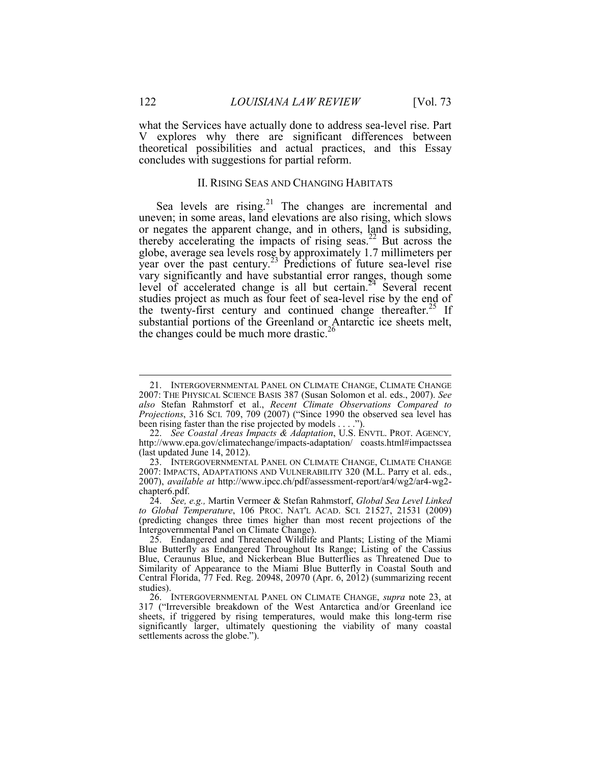what the Services have actually done to address sea-level rise. Part V explores why there are significant differences between theoretical possibilities and actual practices, and this Essay concludes with suggestions for partial reform.

#### II. RISING SEAS AND CHANGING HABITATS

Sea levels are rising.<sup>21</sup> The changes are incremental and uneven; in some areas, land elevations are also rising, which slows or negates the apparent change, and in others, land is subsiding, thereby accelerating the impacts of rising seas.<sup>22</sup> But across the globe, average sea levels rose by approximately 1.7 millimeters per year over the past century.<sup>23</sup> Predictions of future sea-level rise vary significantly and have substantial error ranges, though some level of accelerated change is all but certain.<sup>24</sup> Several recent studies project as much as four feet of sea-level rise by the end of the twenty-first century and continued change thereafter.<sup>25</sup> If substantial portions of the Greenland or Antarctic ice sheets melt, the changes could be much more drastic.<sup>26</sup>

 22. *See Coastal Areas Impacts & Adaptation*, U.S. ENVTL. PROT. AGENCY*,*  http://www.epa.gov/climatechange/impacts-adaptation/ coasts.html#impactssea (last updated June 14, 2012).

<u>.</u>

 <sup>21.</sup> INTERGOVERNMENTAL PANEL ON CLIMATE CHANGE, CLIMATE CHANGE 2007: THE PHYSICAL SCIENCE BASIS 387 (Susan Solomon et al. eds., 2007). *See also* Stefan Rahmstorf et al., *Recent Climate Observations Compared to Projections*, 316 SCI. 709, 709 (2007) ("Since 1990 the observed sea level has been rising faster than the rise projected by models . . . .").

<sup>23.</sup> INTERGOVERNMENTAL PANEL ON CLIMATE CHANGE, CLIMATE CHANGE 2007: IMPACTS, ADAPTATIONS AND VULNERABILITY 320 (M.L. Parry et al. eds., 2007), *available at* http://www.ipcc.ch/pdf/assessment-report/ar4/wg2/ar4-wg2 chapter6.pdf.

 <sup>24.</sup> *See, e.g.,* Martin Vermeer & Stefan Rahmstorf, *Global Sea Level Linked to Global Temperature*, 106 PROC. NAT'L ACAD. SCI. 21527, 21531 (2009) (predicting changes three times higher than most recent projections of the Intergovernmental Panel on Climate Change).

 <sup>25.</sup> Endangered and Threatened Wildlife and Plants; Listing of the Miami Blue Butterfly as Endangered Throughout Its Range; Listing of the Cassius Blue, Ceraunus Blue, and Nickerbean Blue Butterflies as Threatened Due to Similarity of Appearance to the Miami Blue Butterfly in Coastal South and Central Florida, 77 Fed. Reg. 20948, 20970 (Apr. 6, 2012) (summarizing recent studies).

 <sup>26.</sup> INTERGOVERNMENTAL PANEL ON CLIMATE CHANGE, *supra* note 23, at 317 ("Irreversible breakdown of the West Antarctica and/or Greenland ice sheets, if triggered by rising temperatures, would make this long-term rise significantly larger, ultimately questioning the viability of many coastal settlements across the globe.").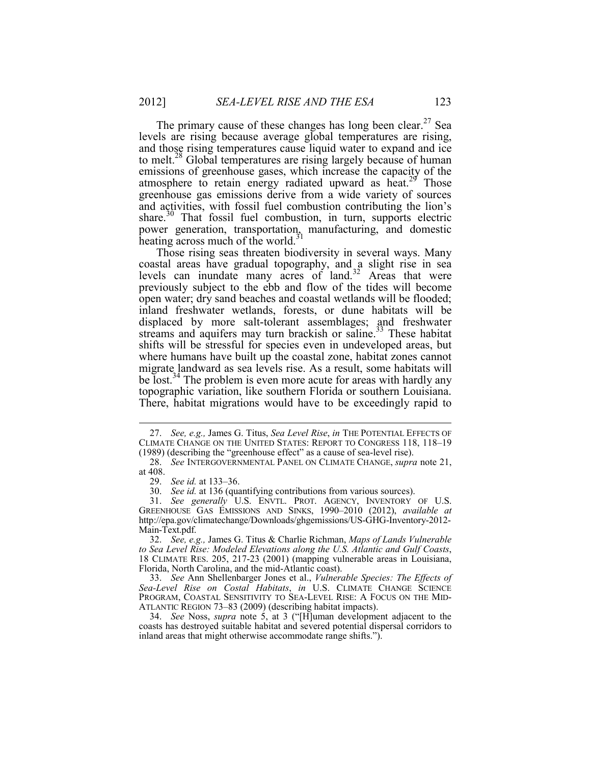The primary cause of these changes has long been clear.<sup>27</sup> Sea levels are rising because average global temperatures are rising, and those rising temperatures cause liquid water to expand and ice to melt.<sup>28</sup> Global temperatures are rising largely because of human emissions of greenhouse gases, which increase the capacity of the atmosphere to retain energy radiated upward as heat.<sup>29</sup> Those greenhouse gas emissions derive from a wide variety of sources and activities, with fossil fuel combustion contributing the lion's share.<sup>30</sup> That fossil fuel combustion, in turn, supports electric power generation, transportation, manufacturing, and domestic heating across much of the world. $31$ 

Those rising seas threaten biodiversity in several ways. Many coastal areas have gradual topography, and a slight rise in sea levels can inundate many acres of land.<sup>32</sup> Areas that were previously subject to the ebb and flow of the tides will become open water; dry sand beaches and coastal wetlands will be flooded; inland freshwater wetlands, forests, or dune habitats will be displaced by more salt-tolerant assemblages; and freshwater streams and aquifers may turn brackish or saline.<sup>33</sup> These habitat shifts will be stressful for species even in undeveloped areas, but where humans have built up the coastal zone, habitat zones cannot migrate landward as sea levels rise. As a result, some habitats will be lost.<sup>34</sup> The problem is even more acute for areas with hardly any topographic variation, like southern Florida or southern Louisiana. There, habitat migrations would have to be exceedingly rapid to

 <sup>27.</sup> *See, e.g.,* James G. Titus, *Sea Level Rise*, *in* THE POTENTIAL EFFECTS OF CLIMATE CHANGE ON THE UNITED STATES: REPORT TO CONGRESS 118, 118–19 (1989) (describing the "greenhouse effect" as a cause of sea-level rise).

 <sup>28.</sup> *See* INTERGOVERNMENTAL PANEL ON CLIMATE CHANGE, *supra* note 21, at 408.

 <sup>29.</sup> *See id.* at 133–36.

 <sup>30.</sup> *See id.* at 136 (quantifying contributions from various sources).

 <sup>31.</sup> *See generally* U.S. ENVTL. PROT. AGENCY, INVENTORY OF U.S. GREENHOUSE GAS EMISSIONS AND SINKS, 1990–2010 (2012), *available at*  http://epa.gov/climatechange/Downloads/ghgemissions/US-GHG-Inventory-2012- Main-Text.pdf.

 <sup>32.</sup> *See, e.g.,* James G. Titus & Charlie Richman, *Maps of Lands Vulnerable to Sea Level Rise: Modeled Elevations along the U.S. Atlantic and Gulf Coasts*, 18 CLIMATE RES. 205, 217-23 (2001) (mapping vulnerable areas in Louisiana, Florida, North Carolina, and the mid-Atlantic coast).

 <sup>33.</sup> *See* Ann Shellenbarger Jones et al., *Vulnerable Species: The Effects of Sea-Level Rise on Costal Habitats*, *in* U.S. CLIMATE CHANGE SCIENCE PROGRAM, COASTAL SENSITIVITY TO SEA-LEVEL RISE: A FOCUS ON THE MID-ATLANTIC REGION 73–83 (2009) (describing habitat impacts).

 <sup>34.</sup> *See* Noss, *supra* note 5, at 3 ("[H]uman development adjacent to the coasts has destroyed suitable habitat and severed potential dispersal corridors to inland areas that might otherwise accommodate range shifts.").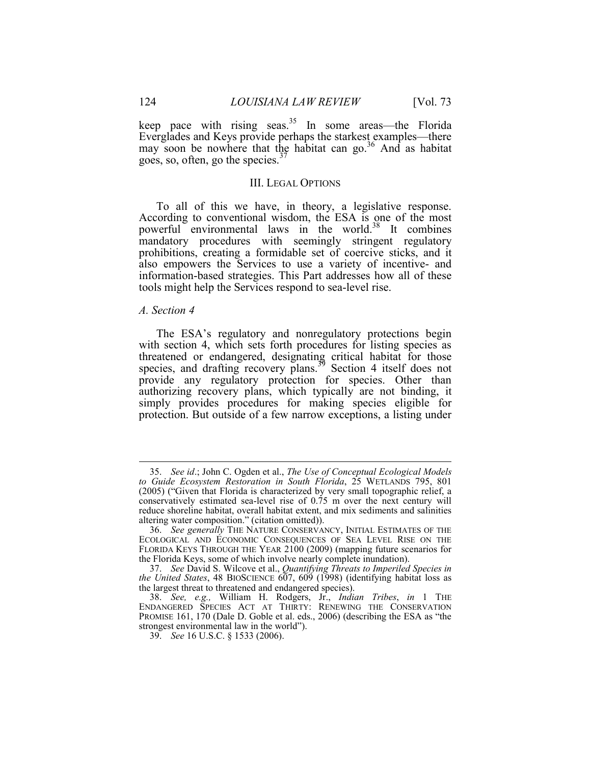keep pace with rising seas.<sup>35</sup> In some areas—the Florida Everglades and Keys provide perhaps the starkest examples—there may soon be nowhere that the habitat can  $\text{go}^{36}$  And as habitat goes, so, often, go the species. $37$ 

#### III. LEGAL OPTIONS

To all of this we have, in theory, a legislative response. According to conventional wisdom, the ESA is one of the most powerful environmental laws in the world.<sup>38</sup> It combines mandatory procedures with seemingly stringent regulatory prohibitions, creating a formidable set of coercive sticks, and it also empowers the Services to use a variety of incentive- and information-based strategies. This Part addresses how all of these tools might help the Services respond to sea-level rise.

#### *A. Section 4*

<u>.</u>

The ESA's regulatory and nonregulatory protections begin with section 4, which sets forth procedures for listing species as threatened or endangered, designating critical habitat for those species, and drafting recovery plans.<sup>39</sup> Section 4 itself does not provide any regulatory protection for species. Other than authorizing recovery plans, which typically are not binding, it simply provides procedures for making species eligible for protection. But outside of a few narrow exceptions, a listing under

 <sup>35.</sup> *See id*.; John C. Ogden et al., *The Use of Conceptual Ecological Models to Guide Ecosystem Restoration in South Florida*, 25 WETLANDS 795, 801 (2005) ("Given that Florida is characterized by very small topographic relief, a conservatively estimated sea-level rise of 0.75 m over the next century will reduce shoreline habitat, overall habitat extent, and mix sediments and salinities altering water composition." (citation omitted)).

 <sup>36.</sup> *See generally* THE NATURE CONSERVANCY, INITIAL ESTIMATES OF THE ECOLOGICAL AND ECONOMIC CONSEQUENCES OF SEA LEVEL RISE ON THE FLORIDA KEYS THROUGH THE YEAR 2100 (2009) (mapping future scenarios for the Florida Keys, some of which involve nearly complete inundation).

 <sup>37.</sup> *See* David S. Wilcove et al., *Quantifying Threats to Imperiled Species in the United States*, 48 BIOSCIENCE 607, 609 (1998) (identifying habitat loss as the largest threat to threatened and endangered species).

 <sup>38.</sup> *See, e.g.,* William H. Rodgers, Jr., *Indian Tribes*, *in* 1 THE ENDANGERED SPECIES ACT AT THIRTY: RENEWING THE CONSERVATION PROMISE 161, 170 (Dale D. Goble et al. eds., 2006) (describing the ESA as "the strongest environmental law in the world").

 <sup>39.</sup> *See* 16 U.S.C. § 1533 (2006).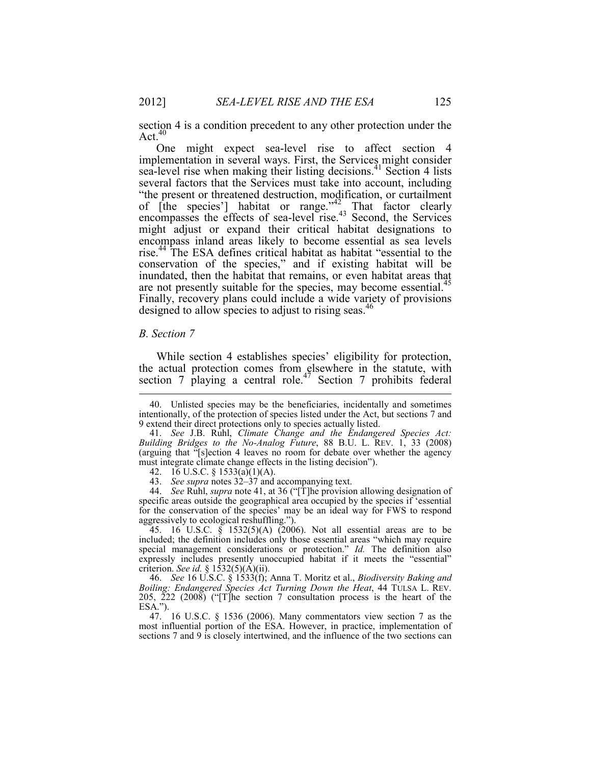section 4 is a condition precedent to any other protection under the Act. $40$ 

One might expect sea-level rise to affect section 4 implementation in several ways. First, the Services might consider sea-level rise when making their listing decisions.<sup>41</sup> Section 4 lists several factors that the Services must take into account, including "the present or threatened destruction, modification, or curtailment of [the species'] habitat or range. $n^2$  That factor clearly encompasses the effects of sea-level rise.<sup>43</sup> Second, the Services might adjust or expand their critical habitat designations to encompass inland areas likely to become essential as sea levels rise.<sup>44</sup> The ESA defines critical habitat as habitat "essential to the conservation of the species," and if existing habitat will be inundated, then the habitat that remains, or even habitat areas that are not presently suitable for the species, may become essential.<sup>45</sup> Finally, recovery plans could include a wide variety of provisions designed to allow species to adjust to rising seas.<sup>46</sup>

#### *B. Section 7*

1

While section 4 establishes species' eligibility for protection, the actual protection comes from elsewhere in the statute, with section 7 playing a central role.<sup>47</sup> Section 7 prohibits federal

 44. *See* Ruhl, *supra* note 41, at 36 ("[T]he provision allowing designation of specific areas outside the geographical area occupied by the species if 'essential for the conservation of the species' may be an ideal way for FWS to respond aggressively to ecological reshuffling.").

 45. 16 U.S.C. § 1532(5)(A) (2006). Not all essential areas are to be included; the definition includes only those essential areas "which may require special management considerations or protection." *Id.* The definition also expressly includes presently unoccupied habitat if it meets the "essential" criterion. *See id.* § 1532(5)(A)(ii).

 46. *See* 16 U.S.C. § 1533(f); Anna T. Moritz et al., *Biodiversity Baking and Boiling: Endangered Species Act Turning Down the Heat*, 44 TULSA L. REV. 205, 222 (2008) ("[T]he section 7 consultation process is the heart of the ESA.").

 47. 16 U.S.C. § 1536 (2006). Many commentators view section 7 as the most influential portion of the ESA. However, in practice, implementation of sections 7 and 9 is closely intertwined, and the influence of the two sections can

 <sup>40.</sup> Unlisted species may be the beneficiaries, incidentally and sometimes intentionally, of the protection of species listed under the Act, but sections 7 and 9 extend their direct protections only to species actually listed.

 <sup>41.</sup> *See* J.B. Ruhl, *Climate Change and the Endangered Species Act: Building Bridges to the No-Analog Future*, 88 B.U. L. REV. 1, 33 (2008) (arguing that "[s]ection 4 leaves no room for debate over whether the agency must integrate climate change effects in the listing decision").

<sup>42. 16</sup> U.S.C. § 1533(a)(1)(A).

 <sup>43.</sup> *See supra* notes 32–37 and accompanying text.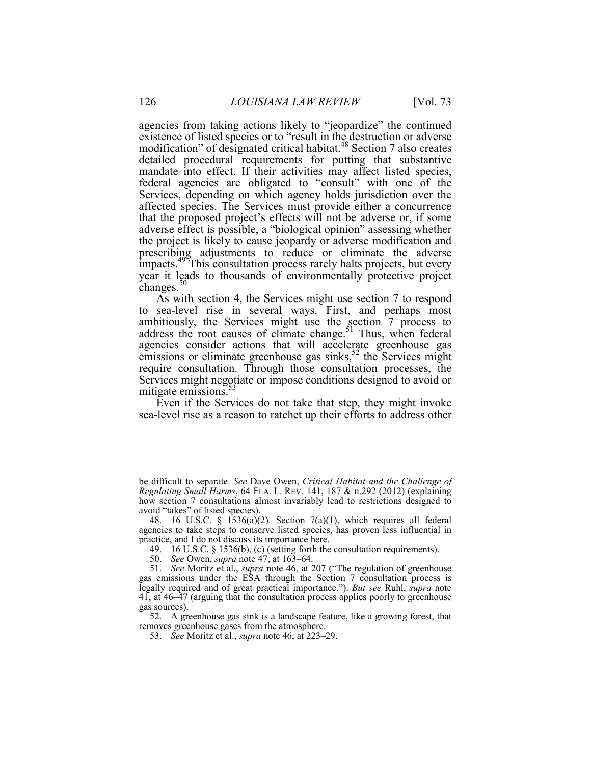agencies from taking actions likely to "jeopardize" the continued existence of listed species or to "result in the destruction or adverse modification" of designated critical habitat.<sup>48</sup> Section 7 also creates detailed procedural requirements for putting that substantive mandate into effect. If their activities may affect listed species, federal agencies are obligated to "consult" with one of the Services, depending on which agency holds jurisdiction over the affected species. The Services must provide either a concurrence that the proposed project's effects will not be adverse or, if some adverse effect is possible, a "biological opinion" assessing whether the project is likely to cause jeopardy or adverse modification and prescribing adjustments to reduce or eliminate the adverse impacts.<sup>49</sup> This consultation process rarely halts projects, but every year it leads to thousands of environmentally protective project changes. $50$ 

As with section 4, the Services might use section 7 to respond to sea-level rise in several ways. First, and perhaps most ambitiously, the Services might use the section 7 process to address the root causes of climate change.<sup>51</sup> Thus, when federal agencies consider actions that will accelerate greenhouse gas emissions or eliminate greenhouse gas sinks,  $52$  the Services might require consultation. Through those consultation processes, the Services might negotiate or impose conditions designed to avoid or mitigate emissions.<sup>53</sup>

Even if the Services do not take that step, they might invoke sea-level rise as a reason to ratchet up their efforts to address other

be difficult to separate. *See* Dave Owen, *Critical Habitat and the Challenge of Regulating Small Harms*, 64 FLA. L. REV. 141, 187 & n.292 (2012) (explaining how section 7 consultations almost invariably lead to restrictions designed to avoid "takes" of listed species).

<sup>48. 16</sup> U.S.C. §  $1536(a)(2)$ . Section 7(a)(1), which requires all federal agencies to take steps to conserve listed species, has proven less influential in practice, and I do not discuss its importance here.

 <sup>49. 16</sup> U.S.C. § 1536(b), (c) (setting forth the consultation requirements).

 <sup>50.</sup> *See* Owen, *supra* note 47, at 163–64.

 <sup>51.</sup> *See* Moritz et al., *supra* note 46, at 207 ("The regulation of greenhouse gas emissions under the ESA through the Section 7 consultation process is legally required and of great practical importance."). *But see* Ruhl, *supra* note 41, at 46–47 (arguing that the consultation process applies poorly to greenhouse gas sources).

 <sup>52.</sup> A greenhouse gas sink is a landscape feature, like a growing forest, that removes greenhouse gases from the atmosphere.

 <sup>53.</sup> *See* Moritz et al., *supra* note 46, at 223–29.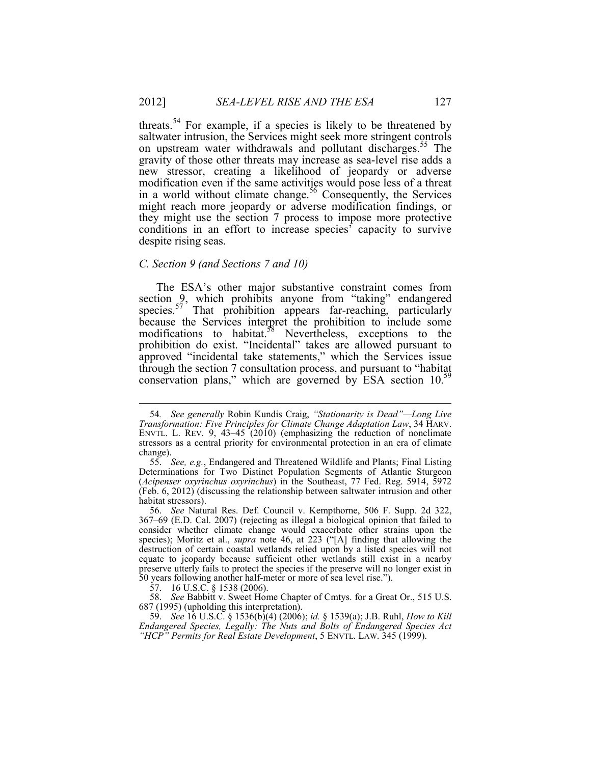threats.<sup>54</sup> For example, if a species is likely to be threatened by saltwater intrusion, the Services might seek more stringent controls on upstream water withdrawals and pollutant discharges.<sup>55</sup> The gravity of those other threats may increase as sea-level rise adds a new stressor, creating a likelihood of jeopardy or adverse modification even if the same activities would pose less of a threat in a world without climate change.<sup>56</sup> Consequently, the Services might reach more jeopardy or adverse modification findings, or they might use the section 7 process to impose more protective conditions in an effort to increase species' capacity to survive despite rising seas.

#### *C. Section 9 (and Sections 7 and 10)*

The ESA's other major substantive constraint comes from section 9, which prohibits anyone from "taking" endangered species. $57$  That prohibition appears far-reaching, particularly because the Services interpret the prohibition to include some modifications to habitat.<sup>58</sup> Nevertheless, exceptions to the prohibition do exist. "Incidental" takes are allowed pursuant to approved "incidental take statements," which the Services issue through the section 7 consultation process, and pursuant to "habitat conservation plans," which are governed by ESA section 10.<sup>59</sup>

 <sup>54</sup>*. See generally* Robin Kundis Craig, *"Stationarity is Dead"—Long Live Transformation: Five Principles for Climate Change Adaptation Law*, 34 HARV. ENVTL. L. REV. 9, 43–45 (2010) (emphasizing the reduction of nonclimate stressors as a central priority for environmental protection in an era of climate change).

 <sup>55.</sup> *See, e.g.*, Endangered and Threatened Wildlife and Plants; Final Listing Determinations for Two Distinct Population Segments of Atlantic Sturgeon (*Acipenser oxyrinchus oxyrinchus*) in the Southeast, 77 Fed. Reg. 5914, 5972 (Feb. 6, 2012) (discussing the relationship between saltwater intrusion and other habitat stressors).

 <sup>56.</sup> *See* Natural Res. Def. Council v. Kempthorne, 506 F. Supp. 2d 322, 367–69 (E.D. Cal. 2007) (rejecting as illegal a biological opinion that failed to consider whether climate change would exacerbate other strains upon the species); Moritz et al., *supra* note 46, at 223 ("[A] finding that allowing the destruction of certain coastal wetlands relied upon by a listed species will not equate to jeopardy because sufficient other wetlands still exist in a nearby preserve utterly fails to protect the species if the preserve will no longer exist in 50 years following another half-meter or more of sea level rise.").

 <sup>57. 16</sup> U.S.C. § 1538 (2006).

 <sup>58.</sup> *See* Babbitt v. Sweet Home Chapter of Cmtys. for a Great Or., 515 U.S. 687 (1995) (upholding this interpretation).

 <sup>59.</sup> *See* 16 U.S.C. § 1536(b)(4) (2006); *id.* § 1539(a); J.B. Ruhl, *How to Kill Endangered Species, Legally: The Nuts and Bolts of Endangered Species Act "HCP" Permits for Real Estate Development*, 5 ENVTL. LAW. 345 (1999).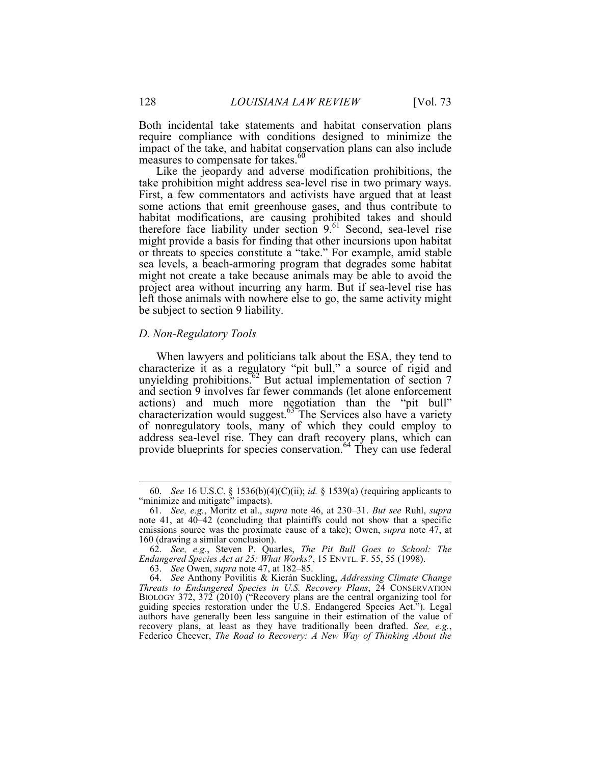Both incidental take statements and habitat conservation plans require compliance with conditions designed to minimize the impact of the take, and habitat conservation plans can also include measures to compensate for takes.<sup>60</sup>

Like the jeopardy and adverse modification prohibitions, the take prohibition might address sea-level rise in two primary ways. First, a few commentators and activists have argued that at least some actions that emit greenhouse gases, and thus contribute to habitat modifications, are causing prohibited takes and should therefore face liability under section  $9.61$  Second, sea-level rise might provide a basis for finding that other incursions upon habitat or threats to species constitute a "take." For example, amid stable sea levels, a beach-armoring program that degrades some habitat might not create a take because animals may be able to avoid the project area without incurring any harm. But if sea-level rise has left those animals with nowhere else to go, the same activity might be subject to section 9 liability.

#### *D. Non-Regulatory Tools*

When lawyers and politicians talk about the ESA, they tend to characterize it as a regulatory "pit bull," a source of rigid and unyielding prohibitions. $62$  But actual implementation of section 7 and section 9 involves far fewer commands (let alone enforcement actions) and much more negotiation than the "pit bull" characterization would suggest. $63$  The Services also have a variety of nonregulatory tools, many of which they could employ to address sea-level rise. They can draft recovery plans, which can provide blueprints for species conservation.<sup>64</sup> They can use federal

 <sup>60.</sup> *See* 16 U.S.C. § 1536(b)(4)(C)(ii); *id.* § 1539(a) (requiring applicants to "minimize and mitigate" impacts).

 <sup>61.</sup> *See, e.g.*, Moritz et al., *supra* note 46, at 230–31. *But see* Ruhl, *supra*  note 41, at 40–42 (concluding that plaintiffs could not show that a specific emissions source was the proximate cause of a take); Owen, *supra* note 47, at 160 (drawing a similar conclusion).

 <sup>62.</sup> *See, e.g.*, Steven P. Quarles, *The Pit Bull Goes to School: The Endangered Species Act at 25: What Works?*, 15 ENVTL. F. 55, 55 (1998).

 <sup>63.</sup> *See* Owen, *supra* note 47, at 182–85.

 <sup>64.</sup> *See* Anthony Povilitis & Kierán Suckling, *Addressing Climate Change Threats to Endangered Species in U.S. Recovery Plans*, 24 CONSERVATION BIOLOGY 372, 372 (2010) ("Recovery plans are the central organizing tool for guiding species restoration under the U.S. Endangered Species Act."). Legal authors have generally been less sanguine in their estimation of the value of recovery plans, at least as they have traditionally been drafted. See, e.g., Federico Cheever, *The Road to Recovery: A New Way of Thinking About the*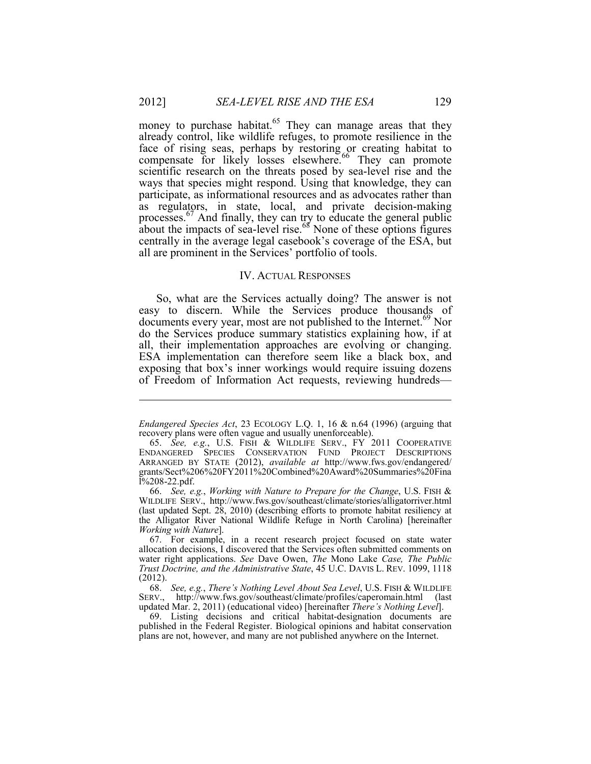money to purchase habitat. $65$  They can manage areas that they already control, like wildlife refuges, to promote resilience in the face of rising seas, perhaps by restoring or creating habitat to compensate for likely losses elsewhere.<sup>66</sup> They can promote scientific research on the threats posed by sea-level rise and the ways that species might respond. Using that knowledge, they can participate, as informational resources and as advocates rather than as regulators, in state, local, and private decision-making processes. $67$  And finally, they can try to educate the general public about the impacts of sea-level rise. $68$  None of these options figures centrally in the average legal casebook's coverage of the ESA, but all are prominent in the Services' portfolio of tools.

#### IV. ACTUAL RESPONSES

So, what are the Services actually doing? The answer is not easy to discern. While the Services produce thousands of documents every year, most are not published to the Internet.<sup>69</sup> Nor do the Services produce summary statistics explaining how, if at all, their implementation approaches are evolving or changing. ESA implementation can therefore seem like a black box, and exposing that box's inner workings would require issuing dozens of Freedom of Information Act requests, reviewing hundreds—

*Endangered Species Act*, 23 ECOLOGY L.Q. 1, 16 & n.64 (1996) (arguing that recovery plans were often vague and usually unenforceable).

 <sup>65.</sup> *See, e.g.*, U.S. FISH & WILDLIFE SERV., FY 2011 COOPERATIVE ENDANGERED SPECIES CONSERVATION FUND PROJECT DESCRIPTIONS ARRANGED BY STATE (2012), *available at* http://www.fws.gov/endangered/ grants/Sect%206%20FY2011%20Combined%20Award%20Summaries%20Fina l%208-22.pdf.

 <sup>66.</sup> *See, e.g.*, *Working with Nature to Prepare for the Change*, U.S. FISH & WILDLIFE SERV., http://www.fws.gov/southeast/climate/stories/alligatorriver.html (last updated Sept. 28, 2010) (describing efforts to promote habitat resiliency at the Alligator River National Wildlife Refuge in North Carolina) [hereinafter *Working with Nature*].

 <sup>67.</sup> For example, in a recent research project focused on state water allocation decisions, I discovered that the Services often submitted comments on water right applications. *See* Dave Owen, *The* Mono Lake *Case, The Public Trust Doctrine, and the Administrative State*, 45 U.C. DAVIS L. REV. 1099, 1118 (2012).

 <sup>68.</sup> *See, e.g.*, *There's Nothing Level About Sea Level*, U.S. FISH & WILDLIFE SERV., http://www.fws.gov/southeast/climate/profiles/caperomain.html (last updated Mar. 2, 2011) (educational video) [hereinafter *There's Nothing Level*].

 <sup>69.</sup> Listing decisions and critical habitat-designation documents are published in the Federal Register. Biological opinions and habitat conservation plans are not, however, and many are not published anywhere on the Internet.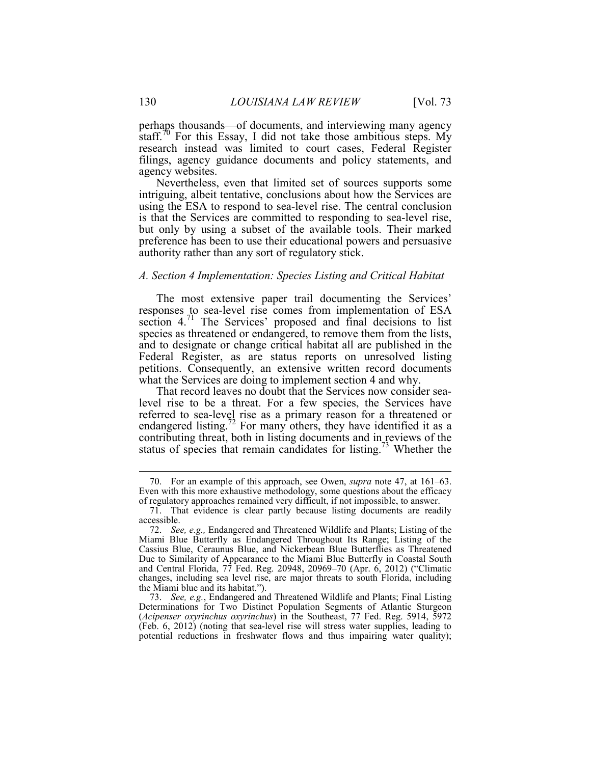perhaps thousands—of documents, and interviewing many agency staff.<sup>70</sup> For this Essay, I did not take those ambitious steps. My research instead was limited to court cases, Federal Register filings, agency guidance documents and policy statements, and agency websites.

Nevertheless, even that limited set of sources supports some intriguing, albeit tentative, conclusions about how the Services are using the ESA to respond to sea-level rise. The central conclusion is that the Services are committed to responding to sea-level rise, but only by using a subset of the available tools. Their marked preference has been to use their educational powers and persuasive authority rather than any sort of regulatory stick.

#### *A. Section 4 Implementation: Species Listing and Critical Habitat*

The most extensive paper trail documenting the Services' responses to sea-level rise comes from implementation of ESA section 4.<sup>71</sup> The Services' proposed and final decisions to list species as threatened or endangered, to remove them from the lists, and to designate or change critical habitat all are published in the Federal Register, as are status reports on unresolved listing petitions. Consequently, an extensive written record documents what the Services are doing to implement section 4 and why.

That record leaves no doubt that the Services now consider sealevel rise to be a threat. For a few species, the Services have referred to sea-level rise as a primary reason for a threatened or endangered listing.<sup>72</sup> For many others, they have identified it as a contributing threat, both in listing documents and in reviews of the status of species that remain candidates for listing.<sup>73</sup> Whether the

 <sup>70.</sup> For an example of this approach, see Owen, *supra* note 47, at 161–63. Even with this more exhaustive methodology, some questions about the efficacy of regulatory approaches remained very difficult, if not impossible, to answer.

 <sup>71.</sup> That evidence is clear partly because listing documents are readily accessible.

 <sup>72.</sup> *See, e.g.,* Endangered and Threatened Wildlife and Plants; Listing of the Miami Blue Butterfly as Endangered Throughout Its Range; Listing of the Cassius Blue, Ceraunus Blue, and Nickerbean Blue Butterflies as Threatened Due to Similarity of Appearance to the Miami Blue Butterfly in Coastal South and Central Florida, 77 Fed. Reg. 20948, 20969–70 (Apr. 6, 2012) ("Climatic changes, including sea level rise, are major threats to south Florida, including the Miami blue and its habitat.").

 <sup>73.</sup> *See, e.g.*, Endangered and Threatened Wildlife and Plants; Final Listing Determinations for Two Distinct Population Segments of Atlantic Sturgeon (*Acipenser oxyrinchus oxyrinchus*) in the Southeast, 77 Fed. Reg. 5914, 5972 (Feb. 6, 2012) (noting that sea-level rise will stress water supplies, leading to potential reductions in freshwater flows and thus impairing water quality);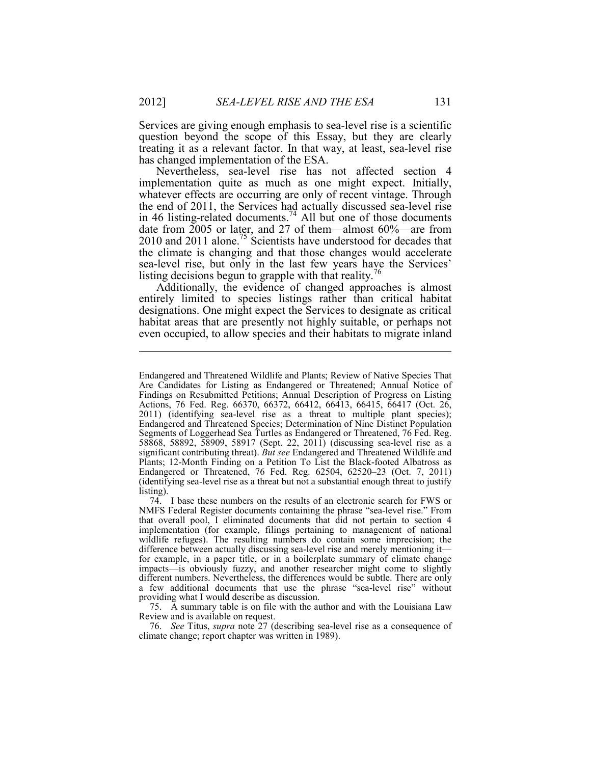Services are giving enough emphasis to sea-level rise is a scientific question beyond the scope of this Essay, but they are clearly treating it as a relevant factor. In that way, at least, sea-level rise has changed implementation of the ESA.

Nevertheless, sea-level rise has not affected section 4 implementation quite as much as one might expect. Initially, whatever effects are occurring are only of recent vintage. Through the end of 2011, the Services had actually discussed sea-level rise in 46 listing-related documents.<sup>74</sup> All but one of those documents date from 2005 or later, and 27 of them—almost 60%—are from 2010 and 2011 alone.<sup>75</sup> Scientists have understood for decades that the climate is changing and that those changes would accelerate sea-level rise, but only in the last few years have the Services' listing decisions begun to grapple with that reality.<sup> $6\%$ </sup>

Additionally, the evidence of changed approaches is almost entirely limited to species listings rather than critical habitat designations. One might expect the Services to designate as critical habitat areas that are presently not highly suitable, or perhaps not even occupied, to allow species and their habitats to migrate inland

 76. *See* Titus, *supra* note 27 (describing sea-level rise as a consequence of climate change; report chapter was written in 1989).

Endangered and Threatened Wildlife and Plants; Review of Native Species That Are Candidates for Listing as Endangered or Threatened; Annual Notice of Findings on Resubmitted Petitions; Annual Description of Progress on Listing Actions, 76 Fed. Reg. 66370, 66372, 66412, 66413, 66415, 66417 (Oct. 26, 2011) (identifying sea-level rise as a threat to multiple plant species); Endangered and Threatened Species; Determination of Nine Distinct Population Segments of Loggerhead Sea Turtles as Endangered or Threatened, 76 Fed. Reg. 58868, 58892, 58909, 58917 (Sept. 22, 2011) (discussing sea-level rise as a significant contributing threat). *But see* Endangered and Threatened Wildlife and Plants; 12-Month Finding on a Petition To List the Black-footed Albatross as Endangered or Threatened, 76 Fed. Reg. 62504, 62520–23 (Oct. 7, 2011) (identifying sea-level rise as a threat but not a substantial enough threat to justify listing).

 <sup>74.</sup> I base these numbers on the results of an electronic search for FWS or NMFS Federal Register documents containing the phrase "sea-level rise." From that overall pool, I eliminated documents that did not pertain to section 4 implementation (for example, filings pertaining to management of national wildlife refuges). The resulting numbers do contain some imprecision; the difference between actually discussing sea-level rise and merely mentioning it for example, in a paper title, or in a boilerplate summary of climate change impacts—is obviously fuzzy, and another researcher might come to slightly different numbers. Nevertheless, the differences would be subtle. There are only a few additional documents that use the phrase "sea-level rise" without providing what I would describe as discussion.

 <sup>75.</sup> A summary table is on file with the author and with the Louisiana Law Review and is available on request.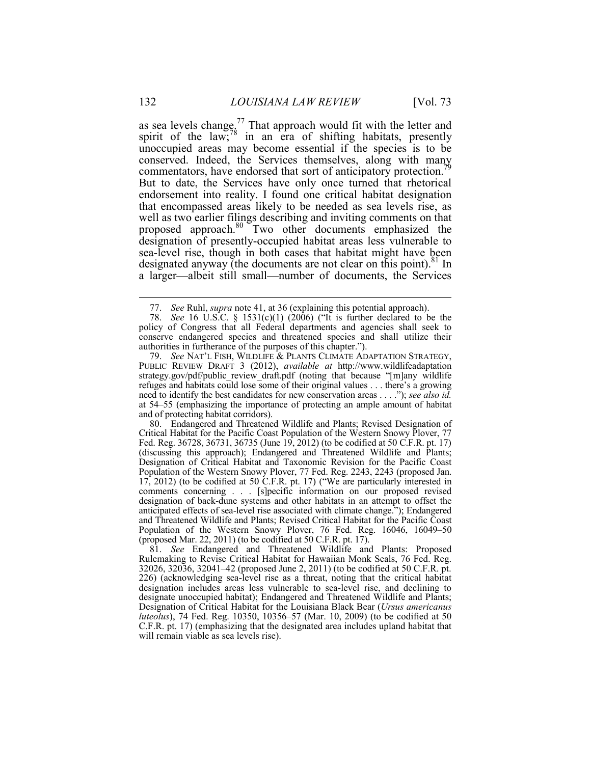as sea levels change.<sup>77</sup> That approach would fit with the letter and spirit of the law; $\frac{78}{8}$  in an era of shifting habitats, presently unoccupied areas may become essential if the species is to be conserved. Indeed, the Services themselves, along with many commentators, have endorsed that sort of anticipatory protection.<sup>7</sup> But to date, the Services have only once turned that rhetorical endorsement into reality. I found one critical habitat designation that encompassed areas likely to be needed as sea levels rise, as well as two earlier filings describing and inviting comments on that proposed approach.80 Two other documents emphasized the designation of presently-occupied habitat areas less vulnerable to sea-level rise, though in both cases that habitat might have been designated anyway (the documents are not clear on this point).<sup>81</sup> In a larger—albeit still small—number of documents, the Services

 80. Endangered and Threatened Wildlife and Plants; Revised Designation of Critical Habitat for the Pacific Coast Population of the Western Snowy Plover, 77 Fed. Reg. 36728, 36731, 36735 (June 19, 2012) (to be codified at 50 C.F.R. pt. 17) (discussing this approach); Endangered and Threatened Wildlife and Plants; Designation of Critical Habitat and Taxonomic Revision for the Pacific Coast Population of the Western Snowy Plover, 77 Fed. Reg. 2243, 2243 (proposed Jan. 17, 2012) (to be codified at 50 C.F.R. pt. 17) ("We are particularly interested in comments concerning . . . [s]pecific information on our proposed revised designation of back-dune systems and other habitats in an attempt to offset the anticipated effects of sea-level rise associated with climate change."); Endangered and Threatened Wildlife and Plants; Revised Critical Habitat for the Pacific Coast Population of the Western Snowy Plover, 76 Fed. Reg. 16046, 16049–50 (proposed Mar. 22, 2011) (to be codified at 50 C.F.R. pt. 17).

 81. *See* Endangered and Threatened Wildlife and Plants: Proposed Rulemaking to Revise Critical Habitat for Hawaiian Monk Seals, 76 Fed. Reg. 32026, 32036, 32041–42 (proposed June 2, 2011) (to be codified at 50 C.F.R. pt. 226) (acknowledging sea-level rise as a threat, noting that the critical habitat designation includes areas less vulnerable to sea-level rise, and declining to designate unoccupied habitat); Endangered and Threatened Wildlife and Plants; Designation of Critical Habitat for the Louisiana Black Bear (*Ursus americanus luteolus*), 74 Fed. Reg. 10350, 10356–57 (Mar. 10, 2009) (to be codified at 50 C.F.R. pt. 17) (emphasizing that the designated area includes upland habitat that will remain viable as sea levels rise).

 <sup>77.</sup> *See* Ruhl, *supra* note 41, at 36 (explaining this potential approach).

 <sup>78.</sup> *See* 16 U.S.C. § 1531(c)(1) (2006) ("It is further declared to be the policy of Congress that all Federal departments and agencies shall seek to conserve endangered species and threatened species and shall utilize their authorities in furtherance of the purposes of this chapter.").

 <sup>79.</sup> *See* NAT'L FISH, WILDLIFE & PLANTS CLIMATE ADAPTATION STRATEGY, PUBLIC REVIEW DRAFT 3 (2012), *available at* http://www.wildlifeadaptation strategy.gov/pdf/public review draft.pdf (noting that because "[m]any wildlife refuges and habitats could lose some of their original values . . . there's a growing need to identify the best candidates for new conservation areas . . . ."); *see also id.*  at 54–55 (emphasizing the importance of protecting an ample amount of habitat and of protecting habitat corridors).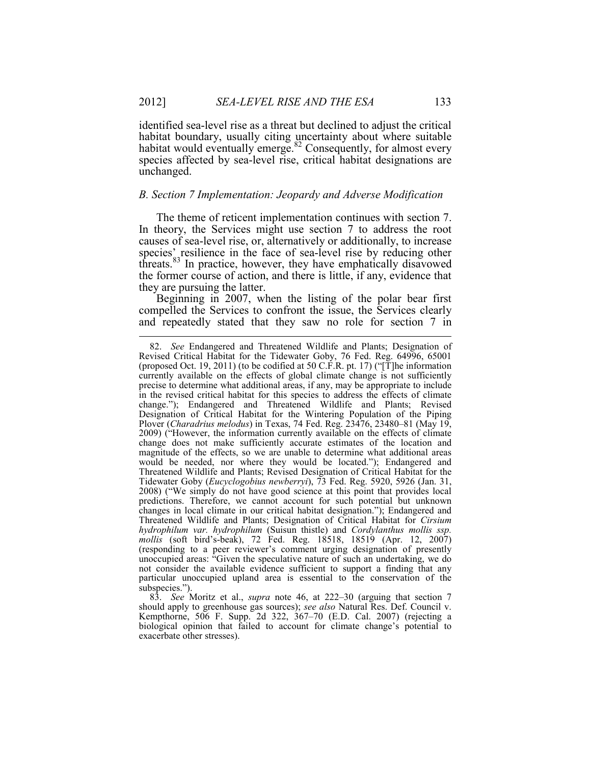identified sea-level rise as a threat but declined to adjust the critical habitat boundary, usually citing uncertainty about where suitable habitat would eventually emerge. $82$  Consequently, for almost every species affected by sea-level rise, critical habitat designations are unchanged.

#### *B. Section 7 Implementation: Jeopardy and Adverse Modification*

The theme of reticent implementation continues with section 7. In theory, the Services might use section 7 to address the root causes of sea-level rise, or, alternatively or additionally, to increase species' resilience in the face of sea-level rise by reducing other threats.83 In practice, however, they have emphatically disavowed the former course of action, and there is little, if any, evidence that they are pursuing the latter.

Beginning in 2007, when the listing of the polar bear first compelled the Services to confront the issue, the Services clearly and repeatedly stated that they saw no role for section 7 in

 <sup>82.</sup> *See* Endangered and Threatened Wildlife and Plants; Designation of Revised Critical Habitat for the Tidewater Goby, 76 Fed. Reg. 64996, 65001 (proposed Oct. 19, 2011) (to be codified at 50 C.F.R. pt. 17) ("[T]he information currently available on the effects of global climate change is not sufficiently precise to determine what additional areas, if any, may be appropriate to include in the revised critical habitat for this species to address the effects of climate change."); Endangered and Threatened Wildlife and Plants; Revised Designation of Critical Habitat for the Wintering Population of the Piping Plover (*Charadrius melodus*) in Texas, 74 Fed. Reg. 23476, 23480–81 (May 19, 2009) ("However, the information currently available on the effects of climate change does not make sufficiently accurate estimates of the location and magnitude of the effects, so we are unable to determine what additional areas would be needed, nor where they would be located."); Endangered and Threatened Wildlife and Plants; Revised Designation of Critical Habitat for the Tidewater Goby (*Eucyclogobius newberryi*), 73 Fed. Reg. 5920, 5926 (Jan. 31, 2008) ("We simply do not have good science at this point that provides local predictions. Therefore, we cannot account for such potential but unknown changes in local climate in our critical habitat designation."); Endangered and Threatened Wildlife and Plants; Designation of Critical Habitat for *Cirsium hydrophilum var. hydrophilum* (Suisun thistle) and *Cordylanthus mollis ssp. mollis* (soft bird's-beak), 72 Fed. Reg. 18518, 18519 (Apr. 12, 2007) (responding to a peer reviewer's comment urging designation of presently unoccupied areas: "Given the speculative nature of such an undertaking, we do not consider the available evidence sufficient to support a finding that any particular unoccupied upland area is essential to the conservation of the subspecies.").

 <sup>83.</sup> *See* Moritz et al., *supra* note 46, at 222–30 (arguing that section 7 should apply to greenhouse gas sources); *see also* Natural Res. Def. Council v. Kempthorne, 506 F. Supp. 2d 322, 367–70 (E.D. Cal. 2007) (rejecting a biological opinion that failed to account for climate change's potential to exacerbate other stresses).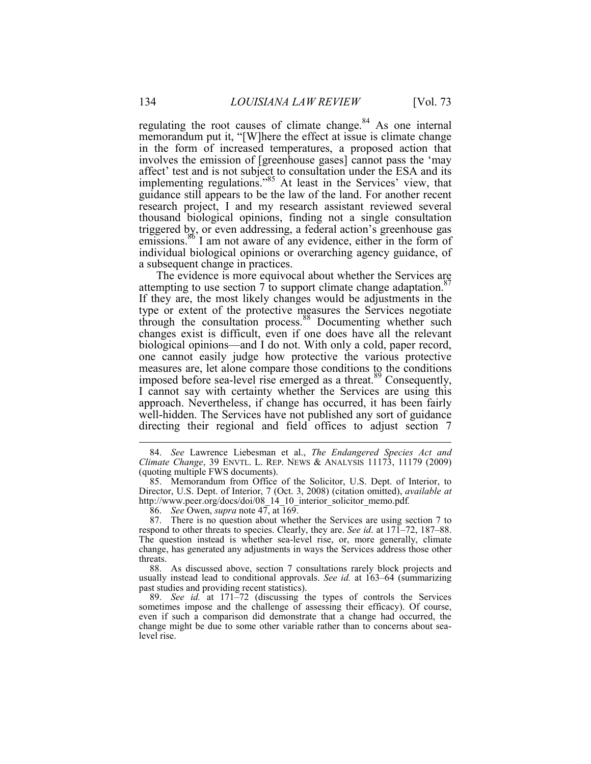regulating the root causes of climate change.<sup>84</sup> As one internal memorandum put it, "[W]here the effect at issue is climate change in the form of increased temperatures, a proposed action that involves the emission of [greenhouse gases] cannot pass the 'may affect' test and is not subject to consultation under the ESA and its implementing regulations."85 At least in the Services' view, that guidance still appears to be the law of the land. For another recent research project, I and my research assistant reviewed several thousand biological opinions, finding not a single consultation triggered by, or even addressing, a federal action's greenhouse gas emissions.<sup>86</sup> I am not aware of any evidence, either in the form of individual biological opinions or overarching agency guidance, of a subsequent change in practices.

The evidence is more equivocal about whether the Services are attempting to use section 7 to support climate change adaptation.<sup>8</sup> If they are, the most likely changes would be adjustments in the type or extent of the protective measures the Services negotiate through the consultation process.<sup>88</sup> Documenting whether such changes exist is difficult, even if one does have all the relevant biological opinions—and I do not. With only a cold, paper record, one cannot easily judge how protective the various protective measures are, let alone compare those conditions to the conditions imposed before sea-level rise emerged as a threat.<sup>89</sup> Consequently, I cannot say with certainty whether the Services are using this approach. Nevertheless, if change has occurred, it has been fairly well-hidden. The Services have not published any sort of guidance directing their regional and field offices to adjust section 7

 <sup>84.</sup> *See* Lawrence Liebesman et al., *The Endangered Species Act and Climate Change*, 39 ENVTL. L. REP. NEWS & ANALYSIS 11173, 11179 (2009) (quoting multiple FWS documents).

 <sup>85.</sup> Memorandum from Office of the Solicitor, U.S. Dept. of Interior, to Director, U.S. Dept. of Interior, 7 (Oct. 3, 2008) (citation omitted), *available at*  http://www.peer.org/docs/doi/08\_14\_10\_interior\_solicitor\_memo.pdf.

 <sup>86.</sup> *See* Owen, *supra* note 47, at 169.

 <sup>87.</sup> There is no question about whether the Services are using section 7 to respond to other threats to species. Clearly, they are. *See id*. at 171–72, 187–88. The question instead is whether sea-level rise, or, more generally, climate change, has generated any adjustments in ways the Services address those other threats.

 <sup>88.</sup> As discussed above, section 7 consultations rarely block projects and usually instead lead to conditional approvals. *See id.* at 163–64 (summarizing past studies and providing recent statistics).

 <sup>89.</sup> *See id.* at 171–72 (discussing the types of controls the Services sometimes impose and the challenge of assessing their efficacy). Of course, even if such a comparison did demonstrate that a change had occurred, the change might be due to some other variable rather than to concerns about sealevel rise.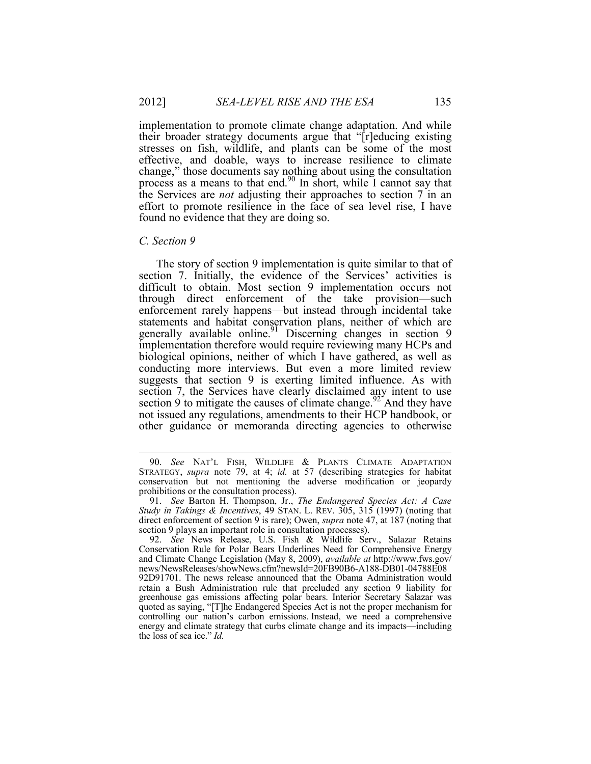implementation to promote climate change adaptation. And while their broader strategy documents argue that "[r]educing existing stresses on fish, wildlife, and plants can be some of the most effective, and doable, ways to increase resilience to climate change," those documents say nothing about using the consultation process as a means to that end.<sup>90</sup> In short, while I cannot say that the Services are *not* adjusting their approaches to section 7 in an effort to promote resilience in the face of sea level rise, I have found no evidence that they are doing so.

#### *C. Section 9*

1

The story of section 9 implementation is quite similar to that of section 7. Initially, the evidence of the Services' activities is difficult to obtain. Most section 9 implementation occurs not through direct enforcement of the take provision—such enforcement rarely happens—but instead through incidental take statements and habitat conservation plans, neither of which are generally available online.<sup>91</sup> Discerning changes in section 9 implementation therefore would require reviewing many HCPs and biological opinions, neither of which I have gathered, as well as conducting more interviews. But even a more limited review suggests that section 9 is exerting limited influence. As with section 7, the Services have clearly disclaimed any intent to use section 9 to mitigate the causes of climate change.<sup>92</sup> And they have not issued any regulations, amendments to their HCP handbook, or other guidance or memoranda directing agencies to otherwise

 <sup>90.</sup> *See* NAT'L FISH, WILDLIFE & PLANTS CLIMATE ADAPTATION STRATEGY, *supra* note 79, at 4; *id.* at 57 (describing strategies for habitat conservation but not mentioning the adverse modification or jeopardy prohibitions or the consultation process).

 <sup>91.</sup> *See* Barton H. Thompson, Jr., *The Endangered Species Act: A Case Study in Takings & Incentives*, 49 STAN. L. REV. 305, 315 (1997) (noting that direct enforcement of section 9 is rare); Owen, *supra* note 47, at 187 (noting that section 9 plays an important role in consultation processes).

 <sup>92.</sup> *See* News Release, U.S. Fish & Wildlife Serv., Salazar Retains Conservation Rule for Polar Bears Underlines Need for Comprehensive Energy and Climate Change Legislation (May 8, 2009), *available at* http://www.fws.gov/ news/NewsReleases/showNews.cfm?newsId=20FB90B6-A188-DB01-04788E08 92D91701. The news release announced that the Obama Administration would retain a Bush Administration rule that precluded any section 9 liability for greenhouse gas emissions affecting polar bears. Interior Secretary Salazar was quoted as saying, "[T]he Endangered Species Act is not the proper mechanism for controlling our nation's carbon emissions. Instead, we need a comprehensive energy and climate strategy that curbs climate change and its impacts—including the loss of sea ice." *Id.*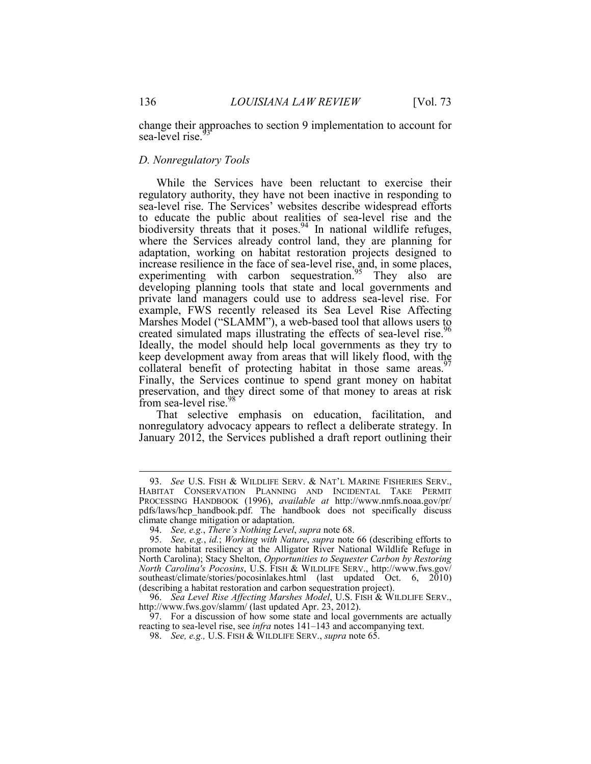change their approaches to section 9 implementation to account for sea-level rise.

#### *D. Nonregulatory Tools*

While the Services have been reluctant to exercise their regulatory authority, they have not been inactive in responding to sea-level rise. The Services' websites describe widespread efforts to educate the public about realities of sea-level rise and the biodiversity threats that it poses.<sup>94</sup> In national wildlife refuges, where the Services already control land, they are planning for adaptation, working on habitat restoration projects designed to increase resilience in the face of sea-level rise, and, in some places, experimenting with carbon sequestration.<sup>95</sup> They also are developing planning tools that state and local governments and private land managers could use to address sea-level rise. For example, FWS recently released its Sea Level Rise Affecting Marshes Model ("SLAMM"), a web-based tool that allows users to created simulated maps illustrating the effects of sea-level rise.<sup>96</sup> Ideally, the model should help local governments as they try to keep development away from areas that will likely flood, with the collateral benefit of protecting habitat in those same areas.<sup>97</sup> Finally, the Services continue to spend grant money on habitat preservation, and they direct some of that money to areas at risk from sea-level rise.<sup>98</sup>

That selective emphasis on education, facilitation, and nonregulatory advocacy appears to reflect a deliberate strategy. In January 2012, the Services published a draft report outlining their

 <sup>93.</sup> *See* U.S. FISH & WILDLIFE SERV. & NAT'L MARINE FISHERIES SERV., HABITAT CONSERVATION PLANNING AND INCIDENTAL TAKE PERMIT PROCESSING HANDBOOK (1996), *available at* http://www.nmfs.noaa.gov/pr/ pdfs/laws/hcp\_handbook.pdf. The handbook does not specifically discuss climate change mitigation or adaptation.

 <sup>94.</sup> *See, e.g.*, *There's Nothing Level*, *supra* note 68.

 <sup>95.</sup> *See, e.g.*, *id.*; *Working with Nature*, *supra* note 66 (describing efforts to promote habitat resiliency at the Alligator River National Wildlife Refuge in North Carolina); Stacy Shelton, *Opportunities to Sequester Carbon by Restoring North Carolina's Pocosins*, U.S. FISH & WILDLIFE SERV., http://www.fws.gov/ southeast/climate/stories/pocosinlakes.html (last updated Oct. 6, 2010) (describing a habitat restoration and carbon sequestration project).

 <sup>96.</sup> *Sea Level Rise Affecting Marshes Model*, U.S. FISH & WILDLIFE SERV., http://www.fws.gov/slamm/ (last updated Apr. 23, 2012).

 <sup>97.</sup> For a discussion of how some state and local governments are actually reacting to sea-level rise, see *infra* notes 141–143 and accompanying text.

 <sup>98.</sup> *See, e.g.,* U.S. FISH & WILDLIFE SERV., *supra* note 65.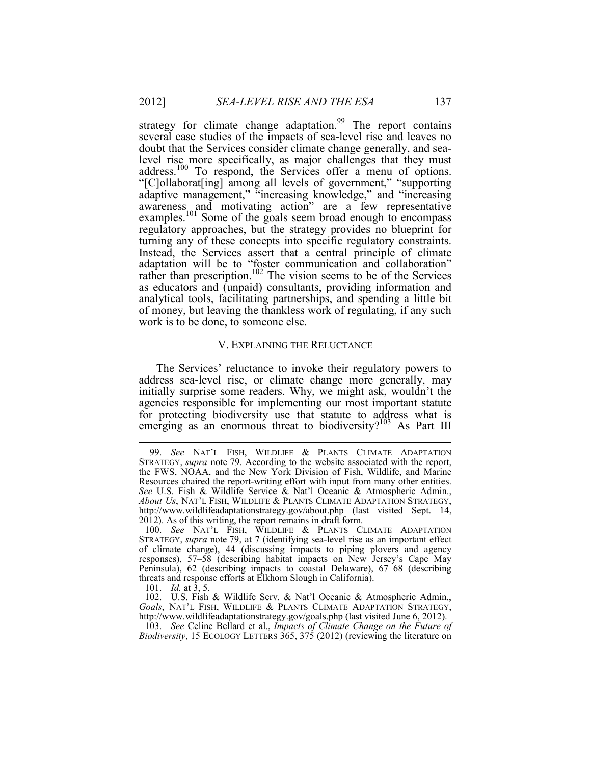strategy for climate change adaptation.<sup>99</sup> The report contains several case studies of the impacts of sea-level rise and leaves no doubt that the Services consider climate change generally, and sealevel rise more specifically, as major challenges that they must address.100 To respond, the Services offer a menu of options. "[C]ollaborat[ing] among all levels of government," "supporting adaptive management," "increasing knowledge," and "increasing awareness and motivating action" are a few representative examples.<sup>101</sup> Some of the goals seem broad enough to encompass regulatory approaches, but the strategy provides no blueprint for turning any of these concepts into specific regulatory constraints. Instead, the Services assert that a central principle of climate adaptation will be to "foster communication and collaboration" rather than prescription.<sup>102</sup> The vision seems to be of the Services as educators and (unpaid) consultants, providing information and analytical tools, facilitating partnerships, and spending a little bit of money, but leaving the thankless work of regulating, if any such work is to be done, to someone else.

#### V. EXPLAINING THE RELUCTANCE

The Services' reluctance to invoke their regulatory powers to address sea-level rise, or climate change more generally, may initially surprise some readers. Why, we might ask, wouldn't the agencies responsible for implementing our most important statute for protecting biodiversity use that statute to address what is emerging as an enormous threat to biodiversity?<sup>103</sup> As Part III

 <sup>99.</sup> *See* NAT'L FISH, WILDLIFE & PLANTS CLIMATE ADAPTATION STRATEGY, *supra* note 79. According to the website associated with the report, the FWS, NOAA, and the New York Division of Fish, Wildlife, and Marine Resources chaired the report-writing effort with input from many other entities. *See* U.S. Fish & Wildlife Service & Nat'l Oceanic & Atmospheric Admin., *About Us*, NAT'L FISH, WILDLIFE & PLANTS CLIMATE ADAPTATION STRATEGY, http://www.wildlifeadaptationstrategy.gov/about.php (last visited Sept. 14, 2012). As of this writing, the report remains in draft form.

 <sup>100.</sup> *See* NAT'L FISH, WILDLIFE & PLANTS CLIMATE ADAPTATION STRATEGY, *supra* note 79, at 7 (identifying sea-level rise as an important effect of climate change), 44 (discussing impacts to piping plovers and agency responses), 57–58 (describing habitat impacts on New Jersey's Cape May Peninsula), 62 (describing impacts to coastal Delaware), 67–68 (describing threats and response efforts at Elkhorn Slough in California).

 <sup>101.</sup> *Id.* at 3, 5.

 <sup>102.</sup> U.S. Fish & Wildlife Serv. & Nat'l Oceanic & Atmospheric Admin., *Goals*, NAT'L FISH, WILDLIFE & PLANTS CLIMATE ADAPTATION STRATEGY, http://www.wildlifeadaptationstrategy.gov/goals.php (last visited June 6, 2012).

 <sup>103.</sup> *See* Celine Bellard et al., *Impacts of Climate Change on the Future of Biodiversity*, 15 ECOLOGY LETTERS 365, 375 (2012) (reviewing the literature on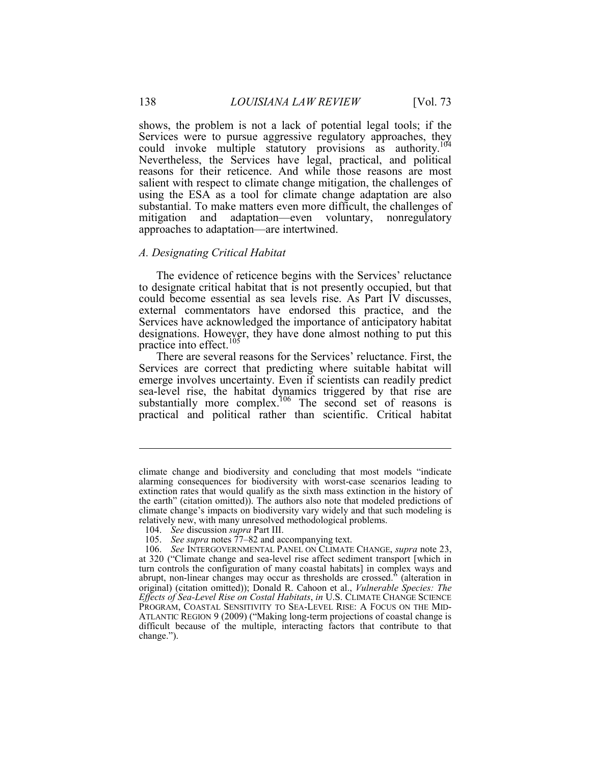shows, the problem is not a lack of potential legal tools; if the Services were to pursue aggressive regulatory approaches, they could invoke multiple statutory provisions as authority.<sup>104</sup> Nevertheless, the Services have legal, practical, and political reasons for their reticence. And while those reasons are most salient with respect to climate change mitigation, the challenges of using the ESA as a tool for climate change adaptation are also substantial. To make matters even more difficult, the challenges of mitigation and adaptation—even voluntary, nonregulatory approaches to adaptation—are intertwined.

#### *A. Designating Critical Habitat*

The evidence of reticence begins with the Services' reluctance to designate critical habitat that is not presently occupied, but that could become essential as sea levels rise. As Part IV discusses, external commentators have endorsed this practice, and the Services have acknowledged the importance of anticipatory habitat designations. However, they have done almost nothing to put this practice into effect.<sup>105</sup>

There are several reasons for the Services' reluctance. First, the Services are correct that predicting where suitable habitat will emerge involves uncertainty. Even if scientists can readily predict sea-level rise, the habitat dynamics triggered by that rise are substantially more complex.<sup>106</sup> The second set of reasons is practical and political rather than scientific. Critical habitat

climate change and biodiversity and concluding that most models "indicate alarming consequences for biodiversity with worst-case scenarios leading to extinction rates that would qualify as the sixth mass extinction in the history of the earth" (citation omitted)). The authors also note that modeled predictions of climate change's impacts on biodiversity vary widely and that such modeling is relatively new, with many unresolved methodological problems.

 <sup>104.</sup> *See* discussion *supra* Part III.

 <sup>105.</sup> *See supra* notes 77–82 and accompanying text.

 <sup>106.</sup> *See* INTERGOVERNMENTAL PANEL ON CLIMATE CHANGE, *supra* note 23, at 320 ("Climate change and sea-level rise affect sediment transport [which in turn controls the configuration of many coastal habitats] in complex ways and abrupt, non-linear changes may occur as thresholds are crossed." (alteration in original) (citation omitted)); Donald R. Cahoon et al., *Vulnerable Species: The Effects of Sea-Level Rise on Costal Habitats*, *in* U.S. CLIMATE CHANGE SCIENCE PROGRAM, COASTAL SENSITIVITY TO SEA-LEVEL RISE: A FOCUS ON THE MID-ATLANTIC REGION 9 (2009) ("Making long-term projections of coastal change is difficult because of the multiple, interacting factors that contribute to that change.").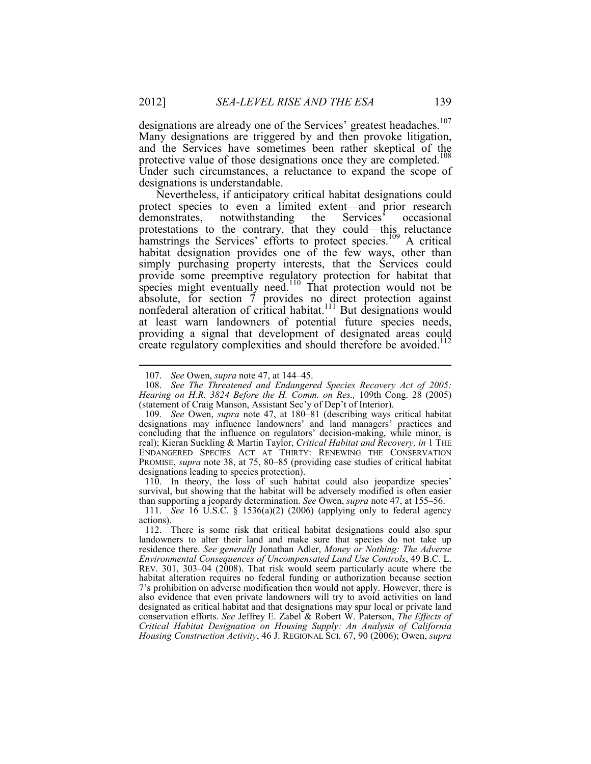designations are already one of the Services' greatest headaches.<sup>107</sup> Many designations are triggered by and then provoke litigation, and the Services have sometimes been rather skeptical of the protective value of those designations once they are completed.<sup>108</sup> Under such circumstances, a reluctance to expand the scope of designations is understandable.

Nevertheless, if anticipatory critical habitat designations could protect species to even a limited extent—and prior research demonstrates, notwithstanding the Services' occasional demonstrates, notwithstanding the Services' occasional protestations to the contrary, that they could—this reluctance hamstrings the Services' efforts to protect species.<sup>109</sup> A critical habitat designation provides one of the few ways, other than simply purchasing property interests, that the Services could provide some preemptive regulatory protection for habitat that species might eventually need.<sup>110</sup> That protection would not be absolute, for section 7 provides no direct protection against nonfederal alteration of critical habitat.<sup>111</sup> But designations would at least warn landowners of potential future species needs, providing a signal that development of designated areas could create regulatory complexities and should therefore be avoided.<sup>112</sup>

 110. In theory, the loss of such habitat could also jeopardize species' survival, but showing that the habitat will be adversely modified is often easier than supporting a jeopardy determination. *See* Owen, *supra* note 47, at 155–56.

 <sup>107.</sup> *See* Owen, *supra* note 47, at 144–45.

 <sup>108.</sup> *See The Threatened and Endangered Species Recovery Act of 2005: Hearing on H.R. 3824 Before the H. Comm. on Res.,* 109th Cong. 28 (2005) (statement of Craig Manson, Assistant Sec'y of Dep't of Interior).

 <sup>109.</sup> *See* Owen, *supra* note 47, at 180–81 (describing ways critical habitat designations may influence landowners' and land managers' practices and concluding that the influence on regulators' decision-making, while minor, is real); Kieran Suckling & Martin Taylor, *Critical Habitat and Recovery, in* 1 THE ENDANGERED SPECIES ACT AT THIRTY: RENEWING THE CONSERVATION PROMISE, *supra* note 38, at 75, 80–85 (providing case studies of critical habitat designations leading to species protection).

 <sup>111.</sup> *See* 16 U.S.C. § 1536(a)(2) (2006) (applying only to federal agency actions).

 <sup>112.</sup> There is some risk that critical habitat designations could also spur landowners to alter their land and make sure that species do not take up residence there. *See generally* Jonathan Adler, *Money or Nothing: The Adverse Environmental Consequences of Uncompensated Land Use Controls*, 49 B.C. L. REV. 301, 303–04 (2008). That risk would seem particularly acute where the habitat alteration requires no federal funding or authorization because section 7's prohibition on adverse modification then would not apply. However, there is also evidence that even private landowners will try to avoid activities on land designated as critical habitat and that designations may spur local or private land conservation efforts. *See* Jeffrey E. Zabel & Robert W. Paterson, *The Effects of Critical Habitat Designation on Housing Supply: An Analysis of California Housing Construction Activity*, 46 J. REGIONAL SCI. 67, 90 (2006); Owen, *supra*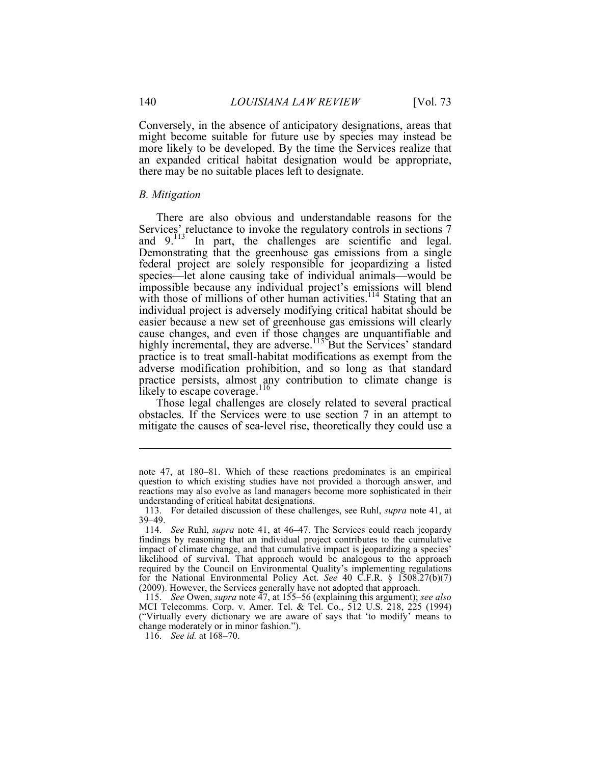Conversely, in the absence of anticipatory designations, areas that might become suitable for future use by species may instead be more likely to be developed. By the time the Services realize that an expanded critical habitat designation would be appropriate, there may be no suitable places left to designate.

#### *B. Mitigation*

There are also obvious and understandable reasons for the Services' reluctance to invoke the regulatory controls in sections 7 and  $9.113$  In part, the challenges are scientific and legal. Demonstrating that the greenhouse gas emissions from a single federal project are solely responsible for jeopardizing a listed species—let alone causing take of individual animals—would be impossible because any individual project's emissions will blend with those of millions of other human activities.<sup>114</sup> Stating that an individual project is adversely modifying critical habitat should be easier because a new set of greenhouse gas emissions will clearly cause changes, and even if those changes are unquantifiable and highly incremental, they are adverse.<sup>115</sup> But the Services' standard practice is to treat small-habitat modifications as exempt from the adverse modification prohibition, and so long as that standard practice persists, almost any contribution to climate change is likely to escape coverage. $116$ 

Those legal challenges are closely related to several practical obstacles. If the Services were to use section 7 in an attempt to mitigate the causes of sea-level rise, theoretically they could use a

note 47, at 180–81. Which of these reactions predominates is an empirical question to which existing studies have not provided a thorough answer, and reactions may also evolve as land managers become more sophisticated in their understanding of critical habitat designations.

 <sup>113.</sup> For detailed discussion of these challenges, see Ruhl, *supra* note 41, at 39–49.

 <sup>114.</sup> *See* Ruhl, *supra* note 41, at 46–47. The Services could reach jeopardy findings by reasoning that an individual project contributes to the cumulative impact of climate change, and that cumulative impact is jeopardizing a species' likelihood of survival. That approach would be analogous to the approach required by the Council on Environmental Quality's implementing regulations for the National Environmental Policy Act. *See* 40 C.F.R. § 1508.27(b)(7) (2009). However, the Services generally have not adopted that approach.

 <sup>115.</sup> *See* Owen, *supra* note 47, at 155–56 (explaining this argument); *see also*  MCI Telecomms. Corp. v. Amer. Tel. & Tel. Co., 512 U.S. 218, 225 (1994) ("Virtually every dictionary we are aware of says that 'to modify' means to change moderately or in minor fashion.").

 <sup>116.</sup> *See id.* at 168–70.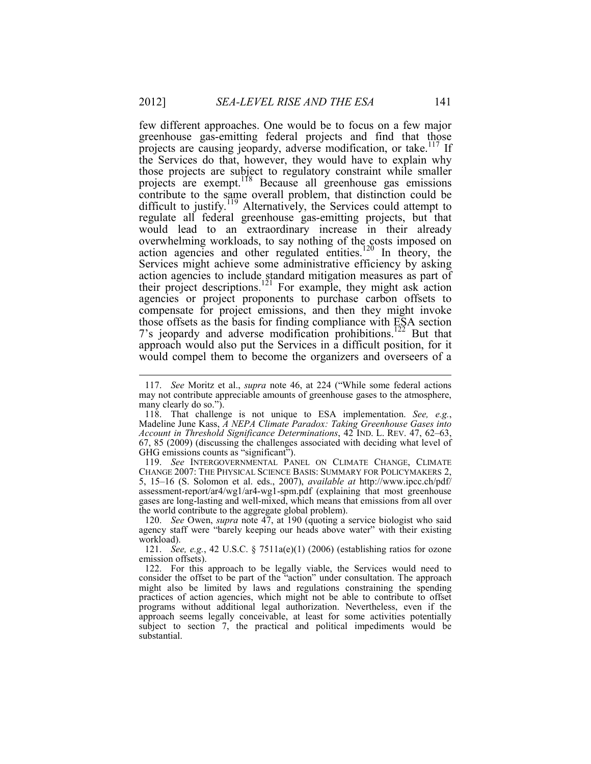few different approaches. One would be to focus on a few major greenhouse gas-emitting federal projects and find that those projects are causing jeopardy, adverse modification, or take.<sup>117</sup> If the Services do that, however, they would have to explain why those projects are subject to regulatory constraint while smaller projects are exempt.118 Because all greenhouse gas emissions contribute to the same overall problem, that distinction could be difficult to justify.<sup>119</sup> Alternatively, the Services could attempt to regulate all federal greenhouse gas-emitting projects, but that would lead to an extraordinary increase in their already overwhelming workloads, to say nothing of the costs imposed on action agencies and other regulated entities.<sup>120</sup> In theory, the Services might achieve some administrative efficiency by asking action agencies to include standard mitigation measures as part of their project descriptions.<sup>121</sup> For example, they might ask action agencies or project proponents to purchase carbon offsets to compensate for project emissions, and then they might invoke those offsets as the basis for finding compliance with ESA section 7's jeopardy and adverse modification prohibitions.<sup>122</sup> But that approach would also put the Services in a difficult position, for it would compel them to become the organizers and overseers of a

<u>.</u>

 <sup>117.</sup> *See* Moritz et al., *supra* note 46, at 224 ("While some federal actions may not contribute appreciable amounts of greenhouse gases to the atmosphere, many clearly do so.").

 <sup>118.</sup> That challenge is not unique to ESA implementation. *See, e.g.*, Madeline June Kass, *A NEPA Climate Paradox: Taking Greenhouse Gases into Account in Threshold Significance Determinations*, 42 IND. L. REV. 47, 62–63, 67, 85 (2009) (discussing the challenges associated with deciding what level of GHG emissions counts as "significant").

 <sup>119.</sup> *See* INTERGOVERNMENTAL PANEL ON CLIMATE CHANGE, CLIMATE CHANGE 2007: THE PHYSICAL SCIENCE BASIS: SUMMARY FOR POLICYMAKERS 2, 5, 15–16 (S. Solomon et al. eds., 2007), *available at* http://www.ipcc.ch/pdf/ assessment-report/ar4/wg1/ar4-wg1-spm.pdf (explaining that most greenhouse gases are long-lasting and well-mixed, which means that emissions from all over the world contribute to the aggregate global problem).

 <sup>120.</sup> *See* Owen, *supra* note 47, at 190 (quoting a service biologist who said agency staff were "barely keeping our heads above water" with their existing workload).

 <sup>121.</sup> *See, e.g.*, 42 U.S.C. § 7511a(e)(1) (2006) (establishing ratios for ozone emission offsets).

 <sup>122.</sup> For this approach to be legally viable, the Services would need to consider the offset to be part of the "action" under consultation. The approach might also be limited by laws and regulations constraining the spending practices of action agencies, which might not be able to contribute to offset programs without additional legal authorization. Nevertheless, even if the approach seems legally conceivable, at least for some activities potentially subject to section 7, the practical and political impediments would be substantial.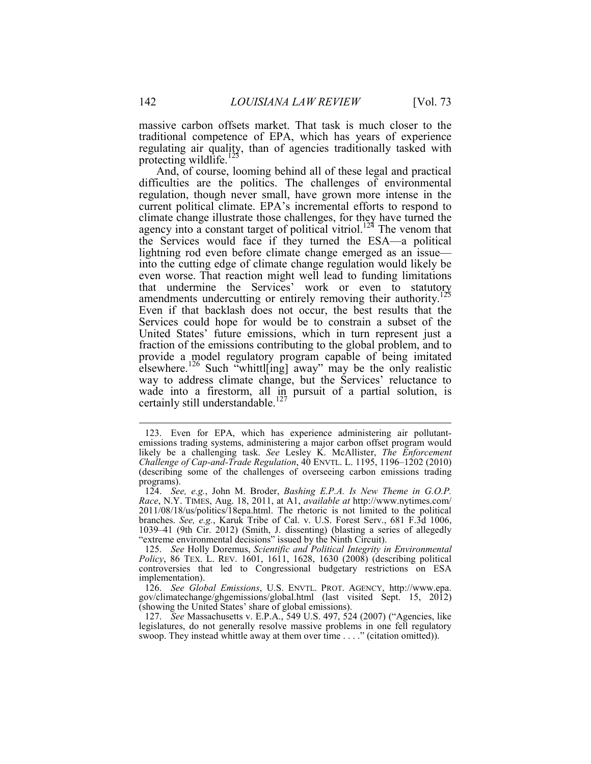massive carbon offsets market. That task is much closer to the traditional competence of EPA, which has years of experience regulating air quality, than of agencies traditionally tasked with protecting wildlife.<sup>123</sup>

And, of course, looming behind all of these legal and practical difficulties are the politics. The challenges of environmental regulation, though never small, have grown more intense in the current political climate. EPA's incremental efforts to respond to climate change illustrate those challenges, for they have turned the agency into a constant target of political vitriol.<sup>124</sup> The venom that the Services would face if they turned the ESA—a political lightning rod even before climate change emerged as an issue into the cutting edge of climate change regulation would likely be even worse. That reaction might well lead to funding limitations that undermine the Services' work or even to statutory amendments undercutting or entirely removing their authority.<sup>125</sup> Even if that backlash does not occur, the best results that the Services could hope for would be to constrain a subset of the United States' future emissions, which in turn represent just a fraction of the emissions contributing to the global problem, and to provide a model regulatory program capable of being imitated elsewhere.<sup>126</sup> Such "whittl[ing] away" may be the only realistic way to address climate change, but the Services' reluctance to wade into a firestorm, all in pursuit of a partial solution, is certainly still understandable.<sup>127</sup>

 <sup>123.</sup> Even for EPA, which has experience administering air pollutantemissions trading systems, administering a major carbon offset program would likely be a challenging task. *See* Lesley K. McAllister, *The Enforcement Challenge of Cap-and-Trade Regulation*, 40 ENVTL. L. 1195, 1196–1202 (2010) (describing some of the challenges of overseeing carbon emissions trading programs).

 <sup>124.</sup> *See, e.g.*, John M. Broder, *Bashing E.P.A. Is New Theme in G.O.P. Race*, N.Y. TIMES, Aug. 18, 2011, at A1, *available at* http://www.nytimes.com/ 2011/08/18/us/politics/18epa.html. The rhetoric is not limited to the political branches. *See, e.g.*, Karuk Tribe of Cal. v. U.S. Forest Serv., 681 F.3d 1006, 1039–41 (9th Cir. 2012) (Smith, J. dissenting) (blasting a series of allegedly "extreme environmental decisions" issued by the Ninth Circuit).

 <sup>125.</sup> *See* Holly Doremus, *Scientific and Political Integrity in Environmental Policy*, 86 TEX. L. REV. 1601, 1611, 1628, 1630 (2008) (describing political controversies that led to Congressional budgetary restrictions on ESA implementation).

 <sup>126.</sup> *See Global Emissions*, U.S. ENVTL. PROT. AGENCY, http://www.epa. gov/climatechange/ghgemissions/global.html (last visited Sept. 15, 2012) (showing the United States' share of global emissions).

 <sup>127.</sup> *See* Massachusetts v. E.P.A., 549 U.S. 497, 524 (2007) ("Agencies, like legislatures, do not generally resolve massive problems in one fell regulatory swoop. They instead whittle away at them over time . . . ." (citation omitted)).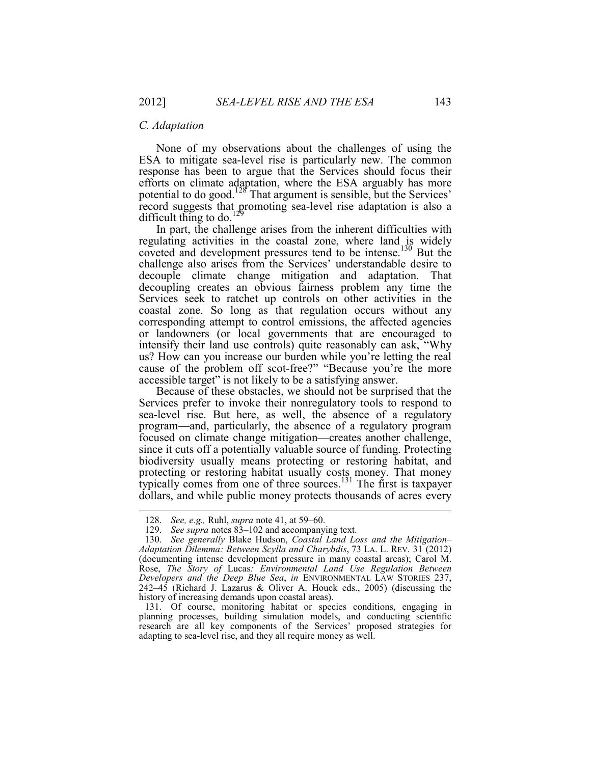#### *C. Adaptation*

None of my observations about the challenges of using the ESA to mitigate sea-level rise is particularly new. The common response has been to argue that the Services should focus their efforts on climate adaptation, where the ESA arguably has more potential to do good.128 That argument is sensible, but the Services' record suggests that promoting sea-level rise adaptation is also a difficult thing to do.<sup>129</sup>

In part, the challenge arises from the inherent difficulties with regulating activities in the coastal zone, where land is widely coveted and development pressures tend to be intense.<sup>130</sup> But the challenge also arises from the Services' understandable desire to decouple climate change mitigation and adaptation. That decoupling creates an obvious fairness problem any time the Services seek to ratchet up controls on other activities in the coastal zone. So long as that regulation occurs without any corresponding attempt to control emissions, the affected agencies or landowners (or local governments that are encouraged to intensify their land use controls) quite reasonably can ask, "Why us? How can you increase our burden while you're letting the real cause of the problem off scot-free?" "Because you're the more accessible target" is not likely to be a satisfying answer.

Because of these obstacles, we should not be surprised that the Services prefer to invoke their nonregulatory tools to respond to sea-level rise. But here, as well, the absence of a regulatory program—and, particularly, the absence of a regulatory program focused on climate change mitigation—creates another challenge, since it cuts off a potentially valuable source of funding. Protecting biodiversity usually means protecting or restoring habitat, and protecting or restoring habitat usually costs money. That money typically comes from one of three sources. $131$  The first is taxpayer dollars, and while public money protects thousands of acres every

 131. Of course, monitoring habitat or species conditions, engaging in planning processes, building simulation models, and conducting scientific research are all key components of the Services' proposed strategies for adapting to sea-level rise, and they all require money as well.

 <sup>128.</sup> *See, e.g.,* Ruhl, *supra* note 41, at 59–60.

 <sup>129.</sup> *See supra* notes 83–102 and accompanying text.

 <sup>130.</sup> *See generally* Blake Hudson, *Coastal Land Loss and the Mitigation– Adaptation Dilemma: Between Scylla and Charybdis*, 73 LA. L. REV. 31 (2012) (documenting intense development pressure in many coastal areas); Carol M. Rose, *The Story of* Lucas*: Environmental Land Use Regulation Between Developers and the Deep Blue Sea*, *in* ENVIRONMENTAL LAW STORIES 237, 242–45 (Richard J. Lazarus & Oliver A. Houck eds., 2005) (discussing the history of increasing demands upon coastal areas).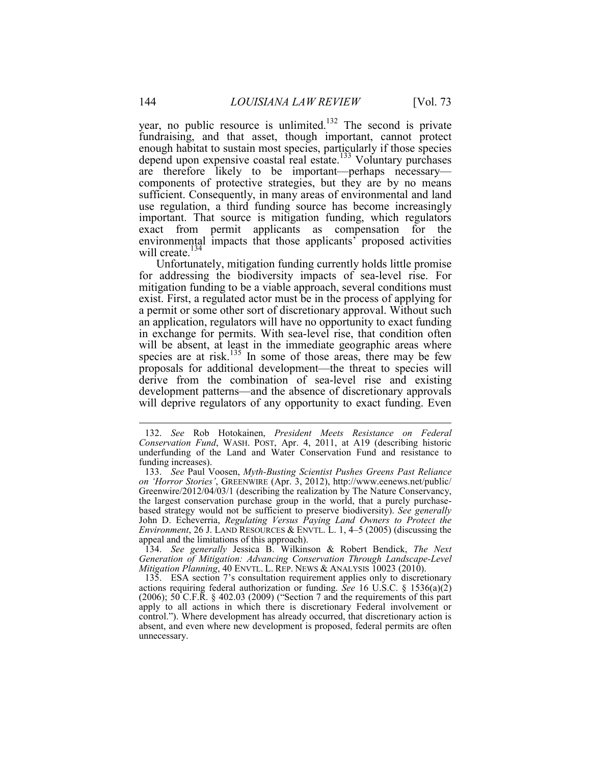year, no public resource is unlimited.<sup>132</sup> The second is private fundraising, and that asset, though important, cannot protect enough habitat to sustain most species, particularly if those species depend upon expensive coastal real estate.<sup>133</sup> Voluntary purchases are therefore likely to be important—perhaps necessary components of protective strategies, but they are by no means sufficient. Consequently, in many areas of environmental and land use regulation, a third funding source has become increasingly important. That source is mitigation funding, which regulators exact from permit applicants as compensation for the environmental impacts that those applicants<sup>7</sup> proposed activities will create.<sup>134</sup>

Unfortunately, mitigation funding currently holds little promise for addressing the biodiversity impacts of sea-level rise. For mitigation funding to be a viable approach, several conditions must exist. First, a regulated actor must be in the process of applying for a permit or some other sort of discretionary approval. Without such an application, regulators will have no opportunity to exact funding in exchange for permits. With sea-level rise, that condition often will be absent, at least in the immediate geographic areas where species are at risk.<sup>135</sup> In some of those areas, there may be few proposals for additional development—the threat to species will derive from the combination of sea-level rise and existing development patterns—and the absence of discretionary approvals will deprive regulators of any opportunity to exact funding. Even

 134. *See generally* Jessica B. Wilkinson & Robert Bendick, *The Next Generation of Mitigation: Advancing Conservation Through Landscape-Level Mitigation Planning*, 40 ENVTL. L. REP. NEWS & ANALYSIS 10023 (2010).

 135. ESA section 7's consultation requirement applies only to discretionary actions requiring federal authorization or funding. *See* 16 U.S.C. § 1536(a)(2) (2006); 50 C.F.R. § 402.03 (2009) ("Section 7 and the requirements of this part apply to all actions in which there is discretionary Federal involvement or control."). Where development has already occurred, that discretionary action is absent, and even where new development is proposed, federal permits are often unnecessary.

 <sup>132.</sup> *See* Rob Hotokainen, *President Meets Resistance on Federal Conservation Fund*, WASH. POST, Apr. 4, 2011, at A19 (describing historic underfunding of the Land and Water Conservation Fund and resistance to funding increases).

 <sup>133.</sup> *See* Paul Voosen, *Myth-Busting Scientist Pushes Greens Past Reliance on 'Horror Stories'*, GREENWIRE (Apr. 3, 2012), http://www.eenews.net/public/ Greenwire/2012/04/03/1 (describing the realization by The Nature Conservancy, the largest conservation purchase group in the world, that a purely purchasebased strategy would not be sufficient to preserve biodiversity). *See generally*  John D. Echeverria, *Regulating Versus Paying Land Owners to Protect the Environment*, 26 J. LAND RESOURCES & ENVTL. L. 1, 4–5 (2005) (discussing the appeal and the limitations of this approach).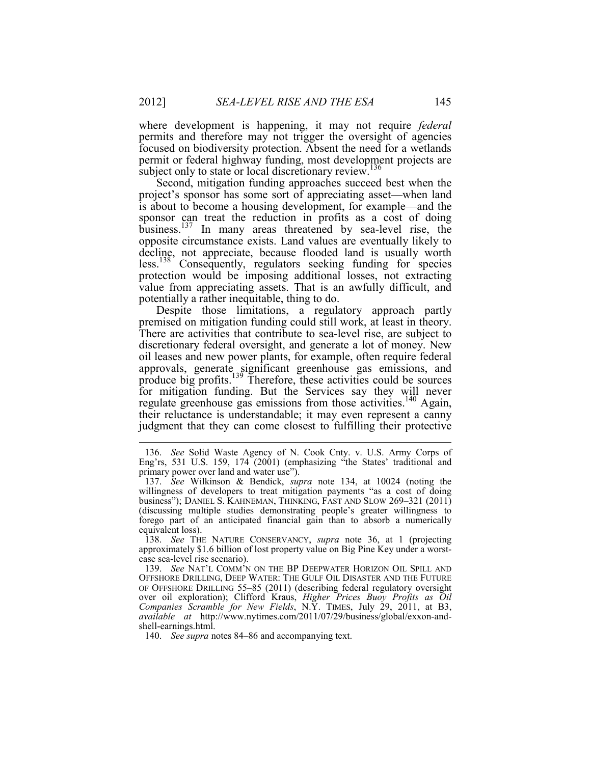where development is happening, it may not require *federal* permits and therefore may not trigger the oversight of agencies focused on biodiversity protection. Absent the need for a wetlands permit or federal highway funding, most development projects are subject only to state or local discretionary review.<sup>136</sup>

Second, mitigation funding approaches succeed best when the project's sponsor has some sort of appreciating asset—when land is about to become a housing development, for example—and the sponsor can treat the reduction in profits as a cost of doing business.<sup>137</sup> In many areas threatened by sea-level rise, the opposite circumstance exists. Land values are eventually likely to decline, not appreciate, because flooded land is usually worth less.<sup>138</sup> Consequently, regulators seeking funding for species protection would be imposing additional losses, not extracting value from appreciating assets. That is an awfully difficult, and potentially a rather inequitable, thing to do.

Despite those limitations, a regulatory approach partly premised on mitigation funding could still work, at least in theory. There are activities that contribute to sea-level rise, are subject to discretionary federal oversight, and generate a lot of money. New oil leases and new power plants, for example, often require federal approvals, generate significant greenhouse gas emissions, and produce big profits.139 Therefore, these activities could be sources for mitigation funding. But the Services say they will never regulate greenhouse gas emissions from those activities.<sup>140</sup> Again, their reluctance is understandable; it may even represent a canny judgment that they can come closest to fulfilling their protective

 <sup>136.</sup> *See* Solid Waste Agency of N. Cook Cnty. v. U.S. Army Corps of Eng'rs, 531 U.S. 159, 174 (2001) (emphasizing "the States' traditional and primary power over land and water use").

 <sup>137.</sup> *See* Wilkinson & Bendick, *supra* note 134, at 10024 (noting the willingness of developers to treat mitigation payments "as a cost of doing business"); DANIEL S. KAHNEMAN, THINKING, FAST AND SLOW 269–321 (2011) (discussing multiple studies demonstrating people's greater willingness to forego part of an anticipated financial gain than to absorb a numerically equivalent loss).

 <sup>138.</sup> *See* THE NATURE CONSERVANCY, *supra* note 36, at 1 (projecting approximately \$1.6 billion of lost property value on Big Pine Key under a worstcase sea-level rise scenario).

 <sup>139.</sup> *See* NAT'L COMM'N ON THE BP DEEPWATER HORIZON OIL SPILL AND OFFSHORE DRILLING, DEEP WATER: THE GULF OIL DISASTER AND THE FUTURE OF OFFSHORE DRILLING 55–85 (2011) (describing federal regulatory oversight over oil exploration); Clifford Kraus, *Higher Prices Buoy Profits as Oil Companies Scramble for New Fields*, N.Y. TIMES, July 29, 2011, at B3, *available at* http://www.nytimes.com/2011/07/29/business/global/exxon-andshell-earnings.html.

 <sup>140.</sup> *See supra* notes 84–86 and accompanying text.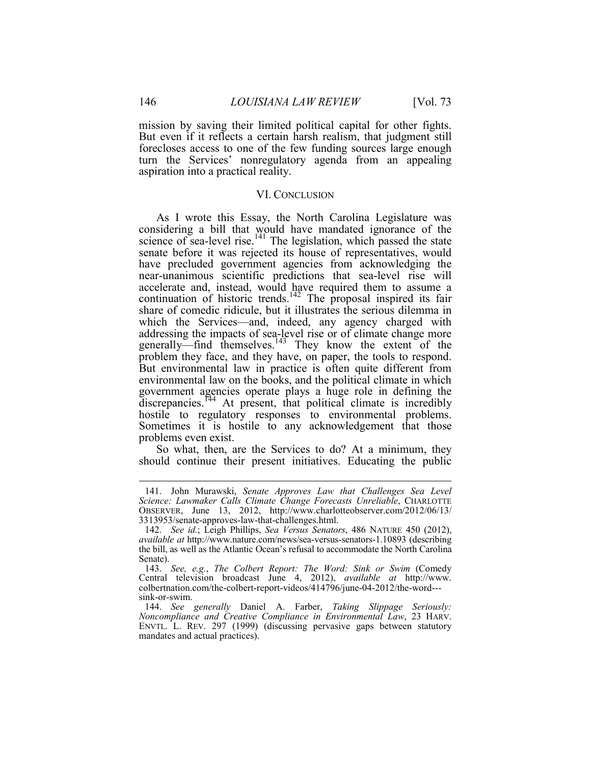mission by saving their limited political capital for other fights. But even if it reflects a certain harsh realism, that judgment still forecloses access to one of the few funding sources large enough turn the Services' nonregulatory agenda from an appealing aspiration into a practical reality.

#### VI. CONCLUSION

As I wrote this Essay, the North Carolina Legislature was considering a bill that would have mandated ignorance of the science of sea-level rise. $141$  The legislation, which passed the state senate before it was rejected its house of representatives, would have precluded government agencies from acknowledging the near-unanimous scientific predictions that sea-level rise will accelerate and, instead, would have required them to assume a continuation of historic trends.<sup>142</sup> The proposal inspired its fair share of comedic ridicule, but it illustrates the serious dilemma in which the Services—and, indeed, any agency charged with addressing the impacts of sea-level rise or of climate change more generally—find themselves.<sup>143</sup> They know the extent of the problem they face, and they have, on paper, the tools to respond. But environmental law in practice is often quite different from environmental law on the books, and the political climate in which government agencies operate plays a huge role in defining the discrepancies.<sup>144</sup> At present, that political climate is incredibly hostile to regulatory responses to environmental problems. Sometimes it is hostile to any acknowledgement that those problems even exist.

So what, then, are the Services to do? At a minimum, they should continue their present initiatives. Educating the public

 <sup>141.</sup> John Murawski, *Senate Approves Law that Challenges Sea Level Science: Lawmaker Calls Climate Change Forecasts Unreliable*, CHARLOTTE OBSERVER, June 13, 2012, http://www.charlotteobserver.com/2012/06/13/ 3313953/senate-approves-law-that-challenges.html.

 <sup>142.</sup> *See id.*; Leigh Phillips, *Sea Versus Senators*, 486 NATURE 450 (2012), *available at* http://www.nature.com/news/sea-versus-senators-1.10893 (describing the bill, as well as the Atlantic Ocean's refusal to accommodate the North Carolina Senate).

 <sup>143.</sup> *See, e.g.*, *The Colbert Report: The Word: Sink or Swim* (Comedy Central television broadcast June 4, 2012), *available at* http://www. colbertnation.com/the-colbert-report-videos/414796/june-04-2012/the-word-- sink-or-swim.

 <sup>144.</sup> *See generally* Daniel A. Farber, *Taking Slippage Seriously: Noncompliance and Creative Compliance in Environmental Law*, 23 HARV. ENVTL. L. REV. 297 (1999) (discussing pervasive gaps between statutory mandates and actual practices).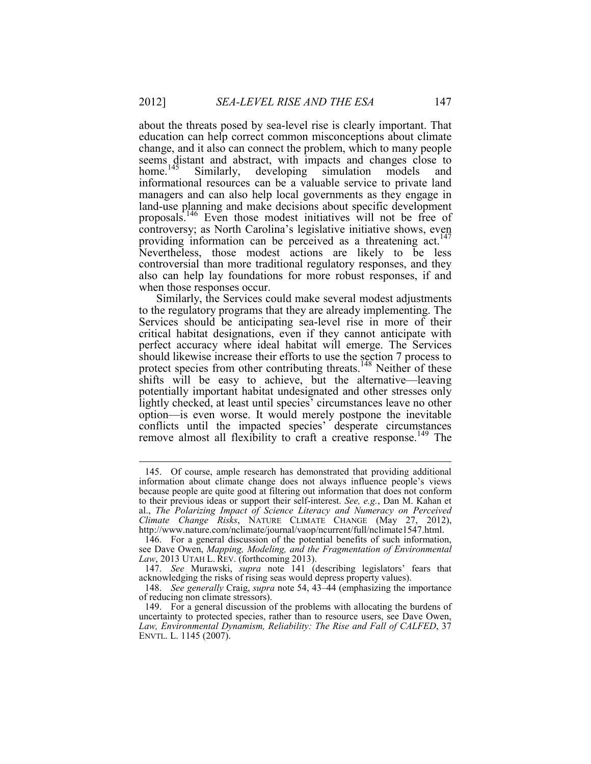about the threats posed by sea-level rise is clearly important. That education can help correct common misconceptions about climate change, and it also can connect the problem, which to many people seems distant and abstract, with impacts and changes close to home.<sup>145</sup> Similarly, developing simulation models and Similarly, developing simulation models and informational resources can be a valuable service to private land managers and can also help local governments as they engage in land-use planning and make decisions about specific development proposals.146 Even those modest initiatives will not be free of controversy; as North Carolina's legislative initiative shows, even providing information can be perceived as a threatening act.<sup>147</sup> Nevertheless, those modest actions are likely to be less controversial than more traditional regulatory responses, and they also can help lay foundations for more robust responses, if and when those responses occur.

Similarly, the Services could make several modest adjustments to the regulatory programs that they are already implementing. The Services should be anticipating sea-level rise in more of their critical habitat designations, even if they cannot anticipate with perfect accuracy where ideal habitat will emerge. The Services should likewise increase their efforts to use the section 7 process to protect species from other contributing threats.<sup>148</sup> Neither of these shifts will be easy to achieve, but the alternative—leaving potentially important habitat undesignated and other stresses only lightly checked, at least until species' circumstances leave no other option—is even worse. It would merely postpone the inevitable conflicts until the impacted species' desperate circumstances remove almost all flexibility to craft a creative response.<sup>149</sup> The

<u>.</u>

 <sup>145.</sup> Of course, ample research has demonstrated that providing additional information about climate change does not always influence people's views because people are quite good at filtering out information that does not conform to their previous ideas or support their self-interest. *See, e.g.*, Dan M. Kahan et al., *The Polarizing Impact of Science Literacy and Numeracy on Perceived Climate Change Risks*, NATURE CLIMATE CHANGE (May 27, 2012), http://www.nature.com/nclimate/journal/vaop/ncurrent/full/nclimate1547.html.

 <sup>146.</sup> For a general discussion of the potential benefits of such information, see Dave Owen, *Mapping, Modeling, and the Fragmentation of Environmental Law*, 2013 UTAH L. REV. (forthcoming 2013).

 <sup>147.</sup> *See* Murawski, *supra* note 141 (describing legislators' fears that acknowledging the risks of rising seas would depress property values).

 <sup>148.</sup> *See generally* Craig, *supra* note 54, 43–44 (emphasizing the importance of reducing non climate stressors).

 <sup>149.</sup> For a general discussion of the problems with allocating the burdens of uncertainty to protected species, rather than to resource users, see Dave Owen, *Law, Environmental Dynamism, Reliability: The Rise and Fall of CALFED*, 37 ENVTL. L. 1145 (2007).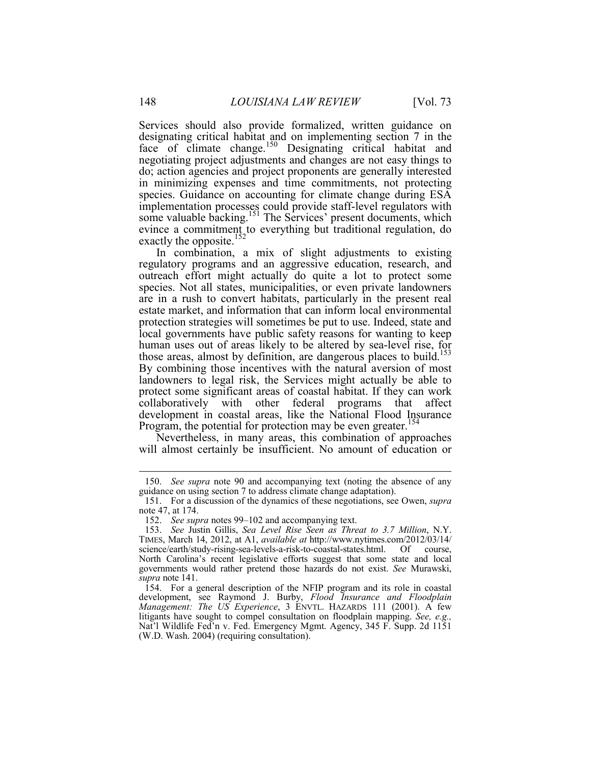Services should also provide formalized, written guidance on designating critical habitat and on implementing section 7 in the face of climate change.<sup>150</sup> Designating critical habitat and negotiating project adjustments and changes are not easy things to do; action agencies and project proponents are generally interested in minimizing expenses and time commitments, not protecting species. Guidance on accounting for climate change during ESA implementation processes could provide staff-level regulators with some valuable backing.<sup>151</sup> The Services' present documents, which evince a commitment to everything but traditional regulation, do exactly the opposite.<sup>152</sup> In combination, a mix of slight adjustments to existing

regulatory programs and an aggressive education, research, and outreach effort might actually do quite a lot to protect some species. Not all states, municipalities, or even private landowners are in a rush to convert habitats, particularly in the present real estate market, and information that can inform local environmental protection strategies will sometimes be put to use. Indeed, state and local governments have public safety reasons for wanting to keep human uses out of areas likely to be altered by sea-level rise, for those areas, almost by definition, are dangerous places to build.<sup>153</sup> By combining those incentives with the natural aversion of most landowners to legal risk, the Services might actually be able to protect some significant areas of coastal habitat. If they can work collaboratively with other federal programs that affect development in coastal areas, like the National Flood Insurance Program, the potential for protection may be even greater.<sup>154</sup>

Nevertheless, in many areas, this combination of approaches will almost certainly be insufficient. No amount of education or

 <sup>150.</sup> *See supra* note 90 and accompanying text (noting the absence of any guidance on using section 7 to address climate change adaptation).

 <sup>151.</sup> For a discussion of the dynamics of these negotiations, see Owen, *supra*  note 47, at 174.

 <sup>152.</sup> *See supra* notes 99–102 and accompanying text.

 <sup>153.</sup> *See* Justin Gillis, *Sea Level Rise Seen as Threat to 3.7 Million*, N.Y. TIMES, March 14, 2012, at A1, *available at* http://www.nytimes.com/2012/03/14/ science/earth/study-rising-sea-levels-a-risk-to-coastal-states.html. Of course, North Carolina's recent legislative efforts suggest that some state and local governments would rather pretend those hazards do not exist. *See* Murawski, *supra* note 141.

 <sup>154.</sup> For a general description of the NFIP program and its role in coastal development, see Raymond J. Burby, *Flood Insurance and Floodplain Management: The US Experience*, 3 ENVTL. HAZARDS 111 (2001). A few litigants have sought to compel consultation on floodplain mapping. *See, e.g.,*  Nat'l Wildlife Fed'n v. Fed. Emergency Mgmt. Agency, 345 F. Supp. 2d 1151 (W.D. Wash. 2004) (requiring consultation).